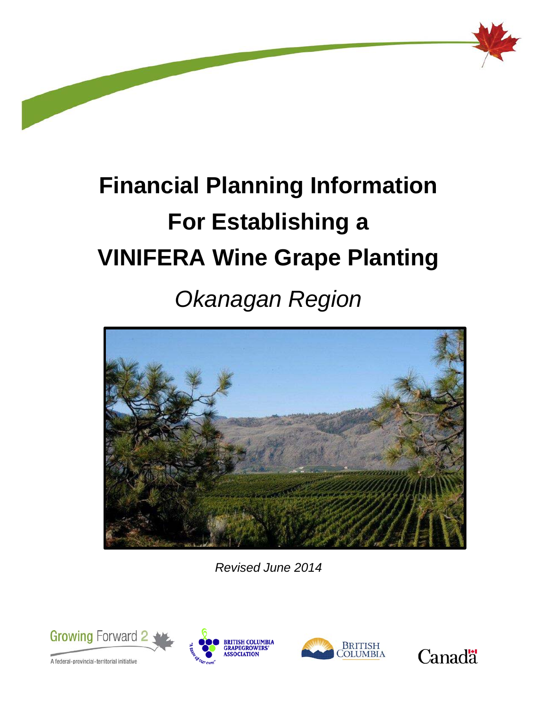

# **Financial Planning Information For Establishing a VINIFERA Wine Grape Planting**

# *Okanagan Region*



*Revised June 2014*







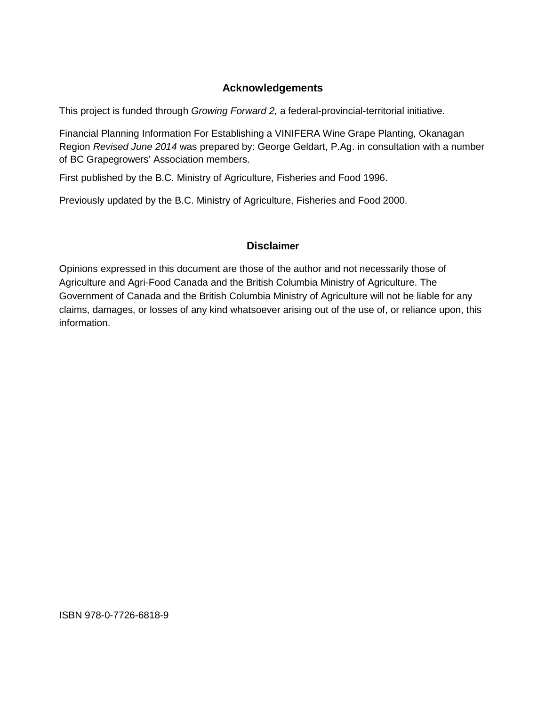#### **Acknowledgements**

This project is funded through *Growing Forward 2,* a federal-provincial-territorial initiative.

Financial Planning Information For Establishing a VINIFERA Wine Grape Planting, Okanagan Region *Revised June 2014* was prepared by: George Geldart, P.Ag. in consultation with a number of BC Grapegrowers' Association members.

First published by the B.C. Ministry of Agriculture, Fisheries and Food 1996.

Previously updated by the B.C. Ministry of Agriculture, Fisheries and Food 2000.

#### **Disclaimer**

Opinions expressed in this document are those of the author and not necessarily those of Agriculture and Agri-Food Canada and the British Columbia Ministry of Agriculture. The Government of Canada and the British Columbia Ministry of Agriculture will not be liable for any claims, damages, or losses of any kind whatsoever arising out of the use of, or reliance upon, this information.

ISBN 978-0-7726-6818-9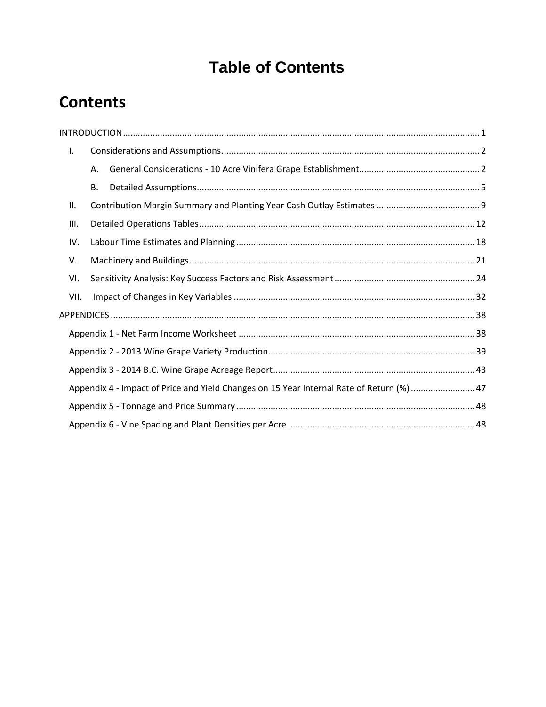### **Table of Contents**

### **Contents**

| Τ.   |    |                                                                                           |  |
|------|----|-------------------------------------------------------------------------------------------|--|
|      | Α. |                                                                                           |  |
|      | В. |                                                                                           |  |
| ΙΙ.  |    |                                                                                           |  |
| Ш.   |    |                                                                                           |  |
| IV.  |    |                                                                                           |  |
| V.   |    |                                                                                           |  |
| VI.  |    |                                                                                           |  |
| VII. |    |                                                                                           |  |
|      |    |                                                                                           |  |
|      |    |                                                                                           |  |
|      |    |                                                                                           |  |
|      |    |                                                                                           |  |
|      |    | Appendix 4 - Impact of Price and Yield Changes on 15 Year Internal Rate of Return (%)  47 |  |
|      |    |                                                                                           |  |
|      |    |                                                                                           |  |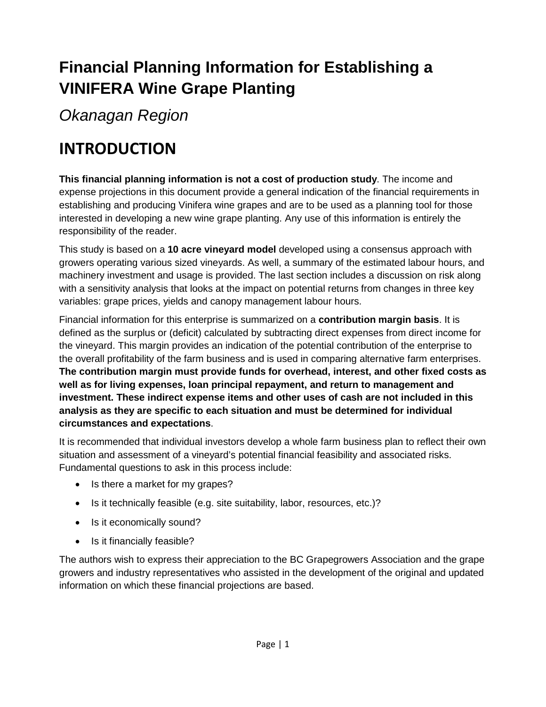### **Financial Planning Information for Establishing a VINIFERA Wine Grape Planting**

*Okanagan Region*

### <span id="page-4-0"></span>**INTRODUCTION**

**This financial planning information is not a cost of production study**. The income and expense projections in this document provide a general indication of the financial requirements in establishing and producing Vinifera wine grapes and are to be used as a planning tool for those interested in developing a new wine grape planting. Any use of this information is entirely the responsibility of the reader.

This study is based on a **10 acre vineyard model** developed using a consensus approach with growers operating various sized vineyards. As well, a summary of the estimated labour hours, and machinery investment and usage is provided. The last section includes a discussion on risk along with a sensitivity analysis that looks at the impact on potential returns from changes in three key variables: grape prices, yields and canopy management labour hours.

Financial information for this enterprise is summarized on a **contribution margin basis**. It is defined as the surplus or (deficit) calculated by subtracting direct expenses from direct income for the vineyard. This margin provides an indication of the potential contribution of the enterprise to the overall profitability of the farm business and is used in comparing alternative farm enterprises. **The contribution margin must provide funds for overhead, interest, and other fixed costs as well as for living expenses, loan principal repayment, and return to management and investment. These indirect expense items and other uses of cash are not included in this analysis as they are specific to each situation and must be determined for individual circumstances and expectations**.

It is recommended that individual investors develop a whole farm business plan to reflect their own situation and assessment of a vineyard's potential financial feasibility and associated risks. Fundamental questions to ask in this process include:

- Is there a market for my grapes?
- Is it technically feasible (e.g. site suitability, labor, resources, etc.)?
- Is it economically sound?
- Is it financially feasible?

The authors wish to express their appreciation to the BC Grapegrowers Association and the grape growers and industry representatives who assisted in the development of the original and updated information on which these financial projections are based.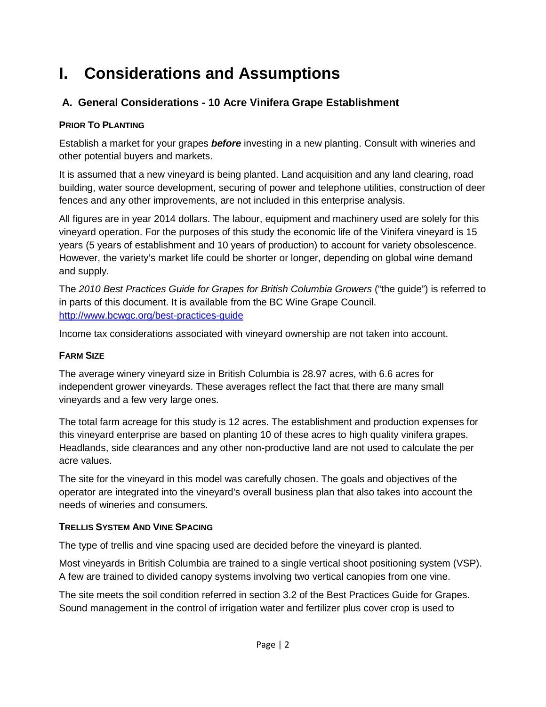### <span id="page-5-0"></span>**I. Considerations and Assumptions**

#### <span id="page-5-1"></span>**A. General Considerations - 10 Acre Vinifera Grape Establishment**

#### **PRIOR TO PLANTING**

Establish a market for your grapes *before* investing in a new planting. Consult with wineries and other potential buyers and markets.

It is assumed that a new vineyard is being planted. Land acquisition and any land clearing, road building, water source development, securing of power and telephone utilities, construction of deer fences and any other improvements, are not included in this enterprise analysis.

All figures are in year 2014 dollars. The labour, equipment and machinery used are solely for this vineyard operation. For the purposes of this study the economic life of the Vinifera vineyard is 15 years (5 years of establishment and 10 years of production) to account for variety obsolescence. However, the variety's market life could be shorter or longer, depending on global wine demand and supply.

The *2010 Best Practices Guide for Grapes for British Columbia Growers* ("the guide") is referred to in parts of this document. It is available from the BC Wine Grape Council. <http://www.bcwgc.org/best-practices-guide>

Income tax considerations associated with vineyard ownership are not taken into account.

#### **FARM SIZE**

The average winery vineyard size in British Columbia is 28.97 acres, with 6.6 acres for independent grower vineyards. These averages reflect the fact that there are many small vineyards and a few very large ones.

The total farm acreage for this study is 12 acres. The establishment and production expenses for this vineyard enterprise are based on planting 10 of these acres to high quality vinifera grapes. Headlands, side clearances and any other non-productive land are not used to calculate the per acre values.

The site for the vineyard in this model was carefully chosen. The goals and objectives of the operator are integrated into the vineyard's overall business plan that also takes into account the needs of wineries and consumers.

#### **TRELLIS SYSTEM AND VINE SPACING**

The type of trellis and vine spacing used are decided before the vineyard is planted.

Most vineyards in British Columbia are trained to a single vertical shoot positioning system (VSP). A few are trained to divided canopy systems involving two vertical canopies from one vine.

The site meets the soil condition referred in section 3.2 of the Best Practices Guide for Grapes. Sound management in the control of irrigation water and fertilizer plus cover crop is used to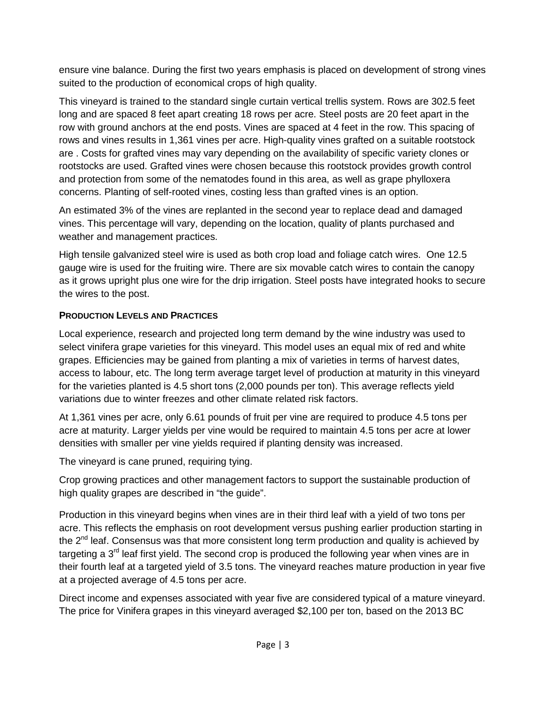ensure vine balance. During the first two years emphasis is placed on development of strong vines suited to the production of economical crops of high quality.

This vineyard is trained to the standard single curtain vertical trellis system. Rows are 302.5 feet long and are spaced 8 feet apart creating 18 rows per acre. Steel posts are 20 feet apart in the row with ground anchors at the end posts. Vines are spaced at 4 feet in the row. This spacing of rows and vines results in 1,361 vines per acre. High-quality vines grafted on a suitable rootstock are . Costs for grafted vines may vary depending on the availability of specific variety clones or rootstocks are used. Grafted vines were chosen because this rootstock provides growth control and protection from some of the nematodes found in this area, as well as grape phylloxera concerns. Planting of self-rooted vines, costing less than grafted vines is an option.

An estimated 3% of the vines are replanted in the second year to replace dead and damaged vines. This percentage will vary, depending on the location, quality of plants purchased and weather and management practices.

High tensile galvanized steel wire is used as both crop load and foliage catch wires. One 12.5 gauge wire is used for the fruiting wire. There are six movable catch wires to contain the canopy as it grows upright plus one wire for the drip irrigation. Steel posts have integrated hooks to secure the wires to the post.

#### **PRODUCTION LEVELS AND PRACTICES**

Local experience, research and projected long term demand by the wine industry was used to select vinifera grape varieties for this vineyard. This model uses an equal mix of red and white grapes. Efficiencies may be gained from planting a mix of varieties in terms of harvest dates, access to labour, etc. The long term average target level of production at maturity in this vineyard for the varieties planted is 4.5 short tons (2,000 pounds per ton). This average reflects yield variations due to winter freezes and other climate related risk factors.

At 1,361 vines per acre, only 6.61 pounds of fruit per vine are required to produce 4.5 tons per acre at maturity. Larger yields per vine would be required to maintain 4.5 tons per acre at lower densities with smaller per vine yields required if planting density was increased.

The vineyard is cane pruned, requiring tying.

Crop growing practices and other management factors to support the sustainable production of high quality grapes are described in "the guide".

Production in this vineyard begins when vines are in their third leaf with a yield of two tons per acre. This reflects the emphasis on root development versus pushing earlier production starting in the  $2^{nd}$  leaf. Consensus was that more consistent long term production and quality is achieved by targeting a 3<sup>rd</sup> leaf first yield. The second crop is produced the following year when vines are in their fourth leaf at a targeted yield of 3.5 tons. The vineyard reaches mature production in year five at a projected average of 4.5 tons per acre.

Direct income and expenses associated with year five are considered typical of a mature vineyard. The price for Vinifera grapes in this vineyard averaged \$2,100 per ton, based on the 2013 BC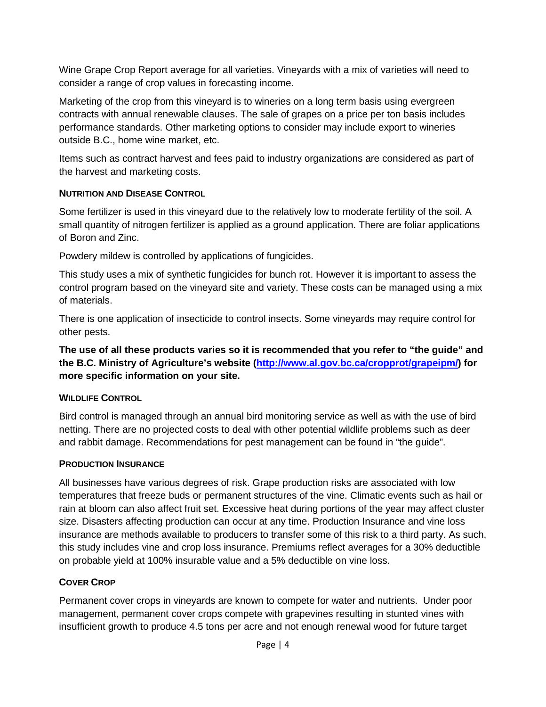Wine Grape Crop Report average for all varieties. Vineyards with a mix of varieties will need to consider a range of crop values in forecasting income.

Marketing of the crop from this vineyard is to wineries on a long term basis using evergreen contracts with annual renewable clauses. The sale of grapes on a price per ton basis includes performance standards. Other marketing options to consider may include export to wineries outside B.C., home wine market, etc.

Items such as contract harvest and fees paid to industry organizations are considered as part of the harvest and marketing costs.

#### **NUTRITION AND DISEASE CONTROL**

Some fertilizer is used in this vineyard due to the relatively low to moderate fertility of the soil. A small quantity of nitrogen fertilizer is applied as a ground application. There are foliar applications of Boron and Zinc.

Powdery mildew is controlled by applications of fungicides.

This study uses a mix of synthetic fungicides for bunch rot. However it is important to assess the control program based on the vineyard site and variety. These costs can be managed using a mix of materials.

There is one application of insecticide to control insects. Some vineyards may require control for other pests.

**The use of all these products varies so it is recommended that you refer to "the guide" and the B.C. Ministry of Agriculture's website [\(http://www.al.gov.bc.ca/cropprot/grapeipm/\)](http://www.al.gov.bc.ca/cropprot/grapeipm/) for more specific information on your site.** 

#### **WILDLIFE CONTROL**

Bird control is managed through an annual bird monitoring service as well as with the use of bird netting. There are no projected costs to deal with other potential wildlife problems such as deer and rabbit damage. Recommendations for pest management can be found in "the guide".

#### **PRODUCTION INSURANCE**

All businesses have various degrees of risk. Grape production risks are associated with low temperatures that freeze buds or permanent structures of the vine. Climatic events such as hail or rain at bloom can also affect fruit set. Excessive heat during portions of the year may affect cluster size. Disasters affecting production can occur at any time. Production Insurance and vine loss insurance are methods available to producers to transfer some of this risk to a third party. As such, this study includes vine and crop loss insurance. Premiums reflect averages for a 30% deductible on probable yield at 100% insurable value and a 5% deductible on vine loss.

#### **COVER CROP**

Permanent cover crops in vineyards are known to compete for water and nutrients. Under poor management, permanent cover crops compete with grapevines resulting in stunted vines with insufficient growth to produce 4.5 tons per acre and not enough renewal wood for future target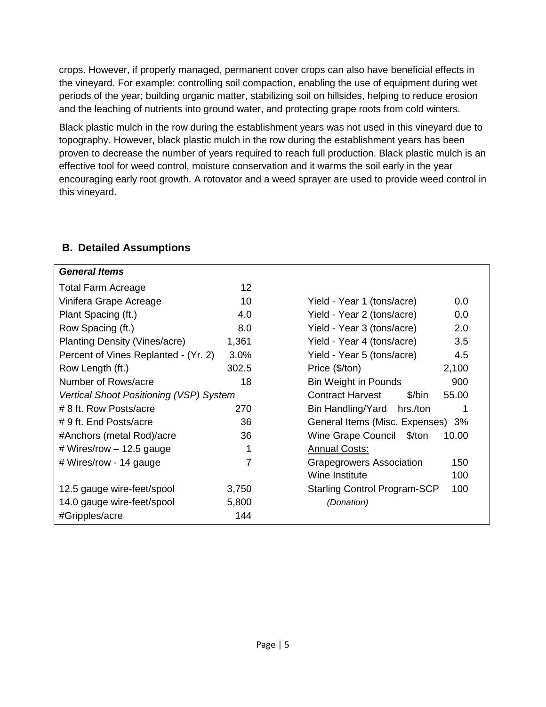crops. However, if properly managed, permanent cover crops can also have beneficial effects in the vineyard. For example: controlling soil compaction, enabling the use of equipment during wet periods of the year; building organic matter, stabilizing soil on hillsides, helping to reduce erosion and the leaching of nutrients into ground water, and protecting grape roots from cold winters.

Black plastic mulch in the row during the establishment years was not used in this vineyard due to topography. However, black plastic mulch in the row during the establishment years has been proven to decrease the number of years required to reach full production. Black plastic mulch is an effective tool for weed control, moisture conservation and it warms the soil early in the year encouraging early root growth. A rotovator and a weed sprayer are used to provide weed control in this vineyard.

#### <span id="page-8-0"></span>**B. Detailed Assumptions**

| <b>General Items</b>                    |       |                                     |       |
|-----------------------------------------|-------|-------------------------------------|-------|
| <b>Total Farm Acreage</b>               | 12    |                                     |       |
| Vinifera Grape Acreage                  | 10    | Yield - Year 1 (tons/acre)          | 0.0   |
| Plant Spacing (ft.)                     | 4.0   | Yield - Year 2 (tons/acre)          | 0.0   |
| Row Spacing (ft.)                       | 8.0   | Yield - Year 3 (tons/acre)          | 2.0   |
| <b>Planting Density (Vines/acre)</b>    | 1,361 | Yield - Year 4 (tons/acre)          | 3.5   |
| Percent of Vines Replanted - (Yr. 2)    | 3.0%  | Yield - Year 5 (tons/acre)          | 4.5   |
| Row Length (ft.)                        | 302.5 | Price (\$/ton)                      | 2,100 |
| Number of Rows/acre                     | 18    | <b>Bin Weight in Pounds</b>         | 900   |
| Vertical Shoot Positioning (VSP) System |       | <b>Contract Harvest</b><br>\$/bin   | 55.00 |
| # 8 ft. Row Posts/acre                  | 270   | Bin Handling/Yard hrs./ton          | 1     |
| # 9 ft. End Posts/acre                  | 36    | General Items (Misc. Expenses) 3%   |       |
| #Anchors (metal Rod)/acre               | 36    | <b>Wine Grape Council</b><br>\$/ton | 10.00 |
| # Wires/row $-$ 12.5 gauge              | 1     | <b>Annual Costs:</b>                |       |
| # Wires/row - 14 gauge                  | 7     | <b>Grapegrowers Association</b>     | 150   |
|                                         |       | Wine Institute                      | 100   |
| 12.5 gauge wire-feet/spool              | 3,750 | <b>Starling Control Program-SCP</b> | 100   |
| 14.0 gauge wire-feet/spool              | 5,800 | (Donation)                          |       |
| #Gripples/acre                          | 144   |                                     |       |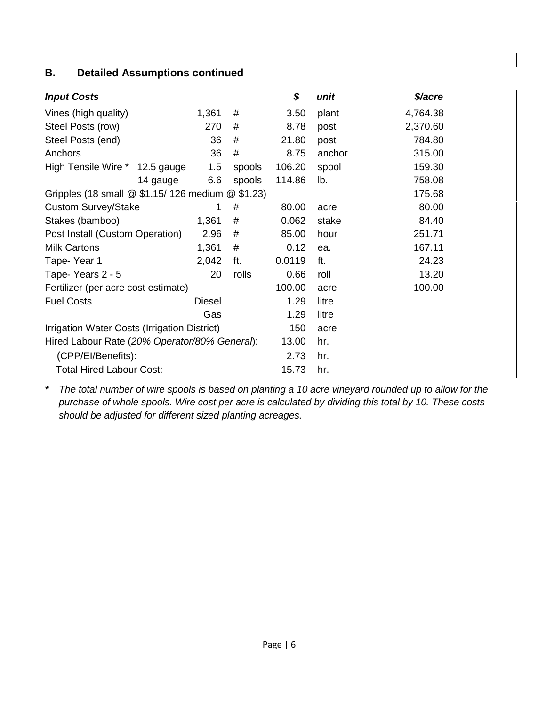#### **B. Detailed Assumptions continued**

| <b>Input Costs</b>                                |          |        |        | \$             | unit   | \$/acre  |
|---------------------------------------------------|----------|--------|--------|----------------|--------|----------|
| Vines (high quality)                              |          | 1,361  | #      | 3.50           | plant  | 4,764.38 |
| Steel Posts (row)                                 |          | 270    | #      | 8.78           | post   | 2,370.60 |
| Steel Posts (end)                                 |          | 36     | #      | 21.80          | post   | 784.80   |
| Anchors                                           |          | 36     | #      | 8.75           | anchor | 315.00   |
| High Tensile Wire * 12.5 gauge                    |          | 1.5    | spools | 106.20         | spool  | 159.30   |
|                                                   | 14 gauge | 6.6    | spools | 114.86         | lb.    | 758.08   |
| Gripples (18 small @ \$1.15/ 126 medium @ \$1.23) |          |        |        |                |        | 175.68   |
| <b>Custom Survey/Stake</b>                        |          |        | #      | 80.00          | acre   | 80.00    |
| Stakes (bamboo)                                   |          | 1,361  | #      | 0.062<br>stake |        | 84.40    |
| Post Install (Custom Operation)                   |          | 2.96   | #      | 85.00          | hour   | 251.71   |
| <b>Milk Cartons</b>                               |          | 1,361  | #      | 0.12           | ea.    | 167.11   |
| Tape-Year 1                                       |          | 2,042  | ft.    | 0.0119         | ft.    | 24.23    |
| Tape- Years 2 - 5                                 |          | 20     | rolls  | 0.66           | roll   | 13.20    |
| Fertilizer (per acre cost estimate)               |          |        |        | 100.00         | acre   | 100.00   |
| <b>Fuel Costs</b>                                 |          | Diesel |        | 1.29           | litre  |          |
|                                                   |          | Gas    |        | 1.29           | litre  |          |
| Irrigation Water Costs (Irrigation District)      |          |        |        | 150            | acre   |          |
| Hired Labour Rate (20% Operator/80% General):     |          |        |        | 13.00          | hr.    |          |
| (CPP/EI/Benefits):                                |          |        |        | 2.73           | hr.    |          |
| <b>Total Hired Labour Cost:</b>                   |          |        |        | 15.73          | hr.    |          |

*\* The total number of wire spools is based on planting a 10 acre vineyard rounded up to allow for the purchase of whole spools. Wire cost per acre is calculated by dividing this total by 10. These costs should be adjusted for different sized planting acreages.*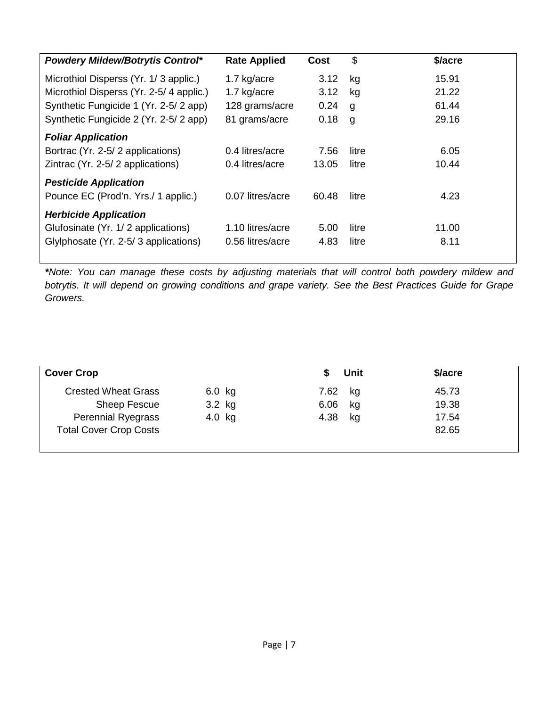| <b>Powdery Mildew/Botrytis Control*</b> | <b>Rate Applied</b> | Cost  | \$    | \$/acre |
|-----------------------------------------|---------------------|-------|-------|---------|
| Microthiol Disperss (Yr. 1/3 applic.)   | 1.7 kg/acre         | 3.12  | kg    | 15.91   |
| Microthiol Disperss (Yr. 2-5/4 applic.) | 1.7 kg/acre         | 3.12  | kg    | 21.22   |
| Synthetic Fungicide 1 (Yr. 2-5/2 app)   | 128 grams/acre      | 0.24  | g     | 61.44   |
| Synthetic Fungicide 2 (Yr. 2-5/2 app)   | 81 grams/acre       | 0.18  | g     | 29.16   |
| <b>Foliar Application</b>               |                     |       |       |         |
| Bortrac (Yr. 2-5/2 applications)        | 0.4 litres/acre     | 7.56  | litre | 6.05    |
| Zintrac (Yr. 2-5/2 applications)        | 0.4 litres/acre     | 13.05 | litre | 10.44   |
| <b>Pesticide Application</b>            |                     |       |       |         |
| Pounce EC (Prod'n. Yrs./ 1 applic.)     | 0.07 litres/acre    | 60.48 | litre | 4.23    |
| <b>Herbicide Application</b>            |                     |       |       |         |
| Glufosinate (Yr. 1/2 applications)      | 1.10 litres/acre    | 5.00  | litre | 11.00   |
| Glylphosate (Yr. 2-5/3 applications)    | 0.56 litres/acre    | 4.83  | litre | 8.11    |
|                                         |                     |       |       |         |

*\*Note: You can manage these costs by adjusting materials that will control both powdery mildew and botrytis. It will depend on growing conditions and grape variety. See the Best Practices Guide for Grape Growers.*

| <b>Cover Crop</b>             |          | Unit       | \$/acre |  |
|-------------------------------|----------|------------|---------|--|
| <b>Crested Wheat Grass</b>    | $6.0$ kg | 7.62<br>kg | 45.73   |  |
| <b>Sheep Fescue</b>           | 3.2 kg   | 6.06<br>kg | 19.38   |  |
| <b>Perennial Ryegrass</b>     | $4.0$ kg | 4.38<br>kg | 17.54   |  |
| <b>Total Cover Crop Costs</b> |          |            | 82.65   |  |
|                               |          |            |         |  |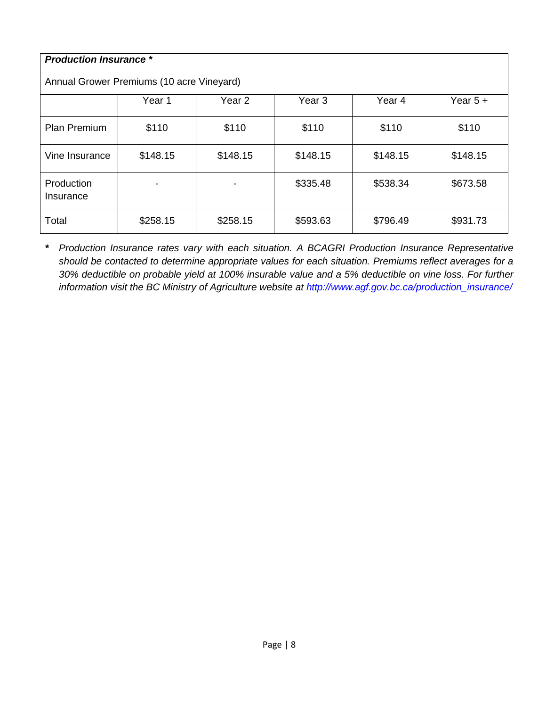| <b>Production Insurance *</b>             |          |          |          |          |            |  |  |  |  |  |  |
|-------------------------------------------|----------|----------|----------|----------|------------|--|--|--|--|--|--|
| Annual Grower Premiums (10 acre Vineyard) |          |          |          |          |            |  |  |  |  |  |  |
|                                           | Year 1   | Year 2   | Year 3   | Year 4   | Year $5 +$ |  |  |  |  |  |  |
| <b>Plan Premium</b>                       | \$110    | \$110    | \$110    | \$110    | \$110      |  |  |  |  |  |  |
| Vine Insurance                            | \$148.15 | \$148.15 | \$148.15 | \$148.15 | \$148.15   |  |  |  |  |  |  |
| Production<br>Insurance                   |          |          | \$335.48 | \$538.34 | \$673.58   |  |  |  |  |  |  |
| Total                                     | \$258.15 | \$258.15 | \$593.63 | \$796.49 | \$931.73   |  |  |  |  |  |  |

*\* Production Insurance rates vary with each situation. A BCAGRI Production Insurance Representative should be contacted to determine appropriate values for each situation. Premiums reflect averages for a 30% deductible on probable yield at 100% insurable value and a 5% deductible on vine loss. For further information visit the BC Ministry of Agriculture website at [http://www.agf.gov.bc.ca/production\\_insurance/](http://www.agf.gov.bc.ca/production_insurance/)*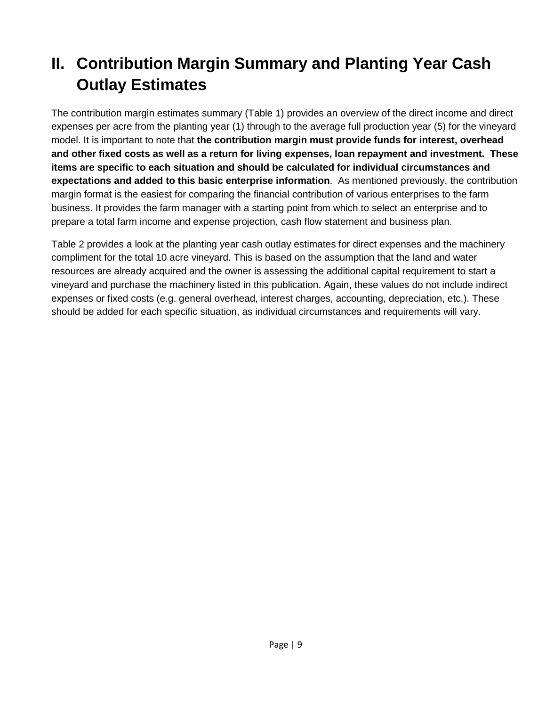### <span id="page-12-0"></span>**II. Contribution Margin Summary and Planting Year Cash Outlay Estimates**

The contribution margin estimates summary (Table 1) provides an overview of the direct income and direct expenses per acre from the planting year (1) through to the average full production year (5) for the vineyard model. It is important to note that **the contribution margin must provide funds for interest, overhead and other fixed costs as well as a return for living expenses, loan repayment and investment. These items are specific to each situation and should be calculated for individual circumstances and expectations and added to this basic enterprise information**. As mentioned previously, the contribution margin format is the easiest for comparing the financial contribution of various enterprises to the farm business. It provides the farm manager with a starting point from which to select an enterprise and to prepare a total farm income and expense projection, cash flow statement and business plan.

Table 2 provides a look at the planting year cash outlay estimates for direct expenses and the machinery compliment for the total 10 acre vineyard. This is based on the assumption that the land and water resources are already acquired and the owner is assessing the additional capital requirement to start a vineyard and purchase the machinery listed in this publication. Again, these values do not include indirect expenses or fixed costs (e.g. general overhead, interest charges, accounting, depreciation, etc.). These should be added for each specific situation, as individual circumstances and requirements will vary.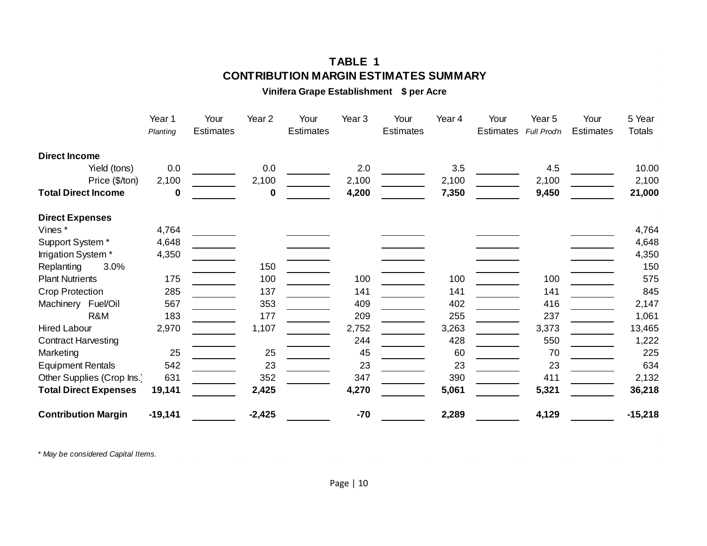#### **TABLE 1 CONTRIBUTION MARGIN ESTIMATES SUMMARY**

**Vinifera Grape Establishment \$ per Acre**

|                              | Year 1<br>Planting | Your<br><b>Estimates</b> | Year <sub>2</sub> | Your<br><b>Estimates</b> | Year 3 | Your<br><b>Estimates</b> | Year 4 | Your<br>Estimates | Year 5<br>Full Prod'n | Your<br><b>Estimates</b> | 5 Year<br>Totals |
|------------------------------|--------------------|--------------------------|-------------------|--------------------------|--------|--------------------------|--------|-------------------|-----------------------|--------------------------|------------------|
|                              |                    |                          |                   |                          |        |                          |        |                   |                       |                          |                  |
| <b>Direct Income</b>         |                    |                          |                   |                          |        |                          |        |                   |                       |                          |                  |
| Yield (tons)                 | 0.0                |                          | 0.0               |                          | 2.0    |                          | 3.5    |                   | 4.5                   |                          | 10.00            |
| Price (\$/ton)               | 2,100              |                          | 2,100             |                          | 2,100  |                          | 2,100  |                   | 2,100                 |                          | 2,100            |
| <b>Total Direct Income</b>   | 0                  |                          | 0                 |                          | 4,200  |                          | 7,350  |                   | 9,450                 |                          | 21,000           |
| <b>Direct Expenses</b>       |                    |                          |                   |                          |        |                          |        |                   |                       |                          |                  |
| Vines*                       | 4,764              |                          |                   |                          |        |                          |        |                   |                       |                          | 4,764            |
| Support System*              | 4,648              |                          |                   |                          |        |                          |        |                   |                       |                          | 4,648            |
| Irrigation System *          | 4,350              |                          |                   |                          |        |                          |        |                   |                       |                          | 4,350            |
| 3.0%<br>Replanting           |                    |                          | 150               |                          |        |                          |        |                   |                       |                          | 150              |
| <b>Plant Nutrients</b>       | 175                |                          | 100               |                          | 100    |                          | 100    |                   | 100                   |                          | 575              |
| Crop Protection              | 285                |                          | 137               |                          | 141    |                          | 141    |                   | 141                   |                          | 845              |
| Machinery Fuel/Oil           | 567                |                          | 353               |                          | 409    |                          | 402    |                   | 416                   |                          | 2,147            |
| R&M                          | 183                |                          | 177               |                          | 209    |                          | 255    |                   | 237                   |                          | 1,061            |
| <b>Hired Labour</b>          | 2,970              |                          | 1,107             |                          | 2,752  |                          | 3,263  |                   | 3,373                 |                          | 13,465           |
| <b>Contract Harvesting</b>   |                    |                          |                   |                          | 244    |                          | 428    |                   | 550                   |                          | 1,222            |
| Marketing                    | 25                 |                          | 25                |                          | 45     |                          | 60     |                   | 70                    |                          | 225              |
| <b>Equipment Rentals</b>     | 542                |                          | 23                |                          | 23     |                          | 23     |                   | 23                    |                          | 634              |
| Other Supplies (Crop Ins.)   | 631                |                          | 352               |                          | 347    |                          | 390    |                   | 411                   |                          | 2,132            |
| <b>Total Direct Expenses</b> | 19,141             |                          | 2,425             |                          | 4,270  |                          | 5,061  |                   | 5,321                 |                          | 36,218           |
| <b>Contribution Margin</b>   | $-19,141$          |                          | $-2,425$          |                          | $-70$  |                          | 2,289  |                   | 4,129                 |                          | $-15,218$        |

*\* May be considered Capital Items.*

 $\sim 10^{11}$ 

 $\mathcal{A}^{\mathcal{A}}$  and  $\mathcal{A}^{\mathcal{A}}$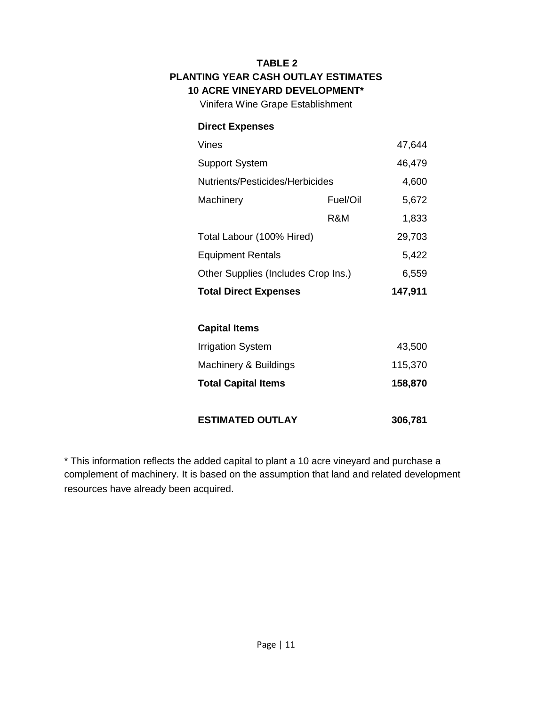#### **TABLE 2 PLANTING YEAR CASH OUTLAY ESTIMATES 10 ACRE VINEYARD DEVELOPMENT\***

Vinifera Wine Grape Establishment

#### **Direct Expenses**

| Vines                               |          | 47,644 |
|-------------------------------------|----------|--------|
| <b>Support System</b>               | 46,479   |        |
| Nutrients/Pesticides/Herbicides     | 4,600    |        |
| Machinery                           | Fuel/Oil | 5,672  |
|                                     | R&M      | 1,833  |
| Total Labour (100% Hired)           |          | 29,703 |
| <b>Equipment Rentals</b>            |          | 5,422  |
| Other Supplies (Includes Crop Ins.) | 6,559    |        |
| <b>Total Direct Expenses</b>        | 147,911  |        |
|                                     |          |        |

#### **Capital Items**

| <b>Total Capital Items</b> | 158,870 |
|----------------------------|---------|
| Machinery & Buildings      | 115,370 |
| Irrigation System          | 43,500  |

#### **ESTIMATED OUTLAY 306,781**

\* This information reflects the added capital to plant a 10 acre vineyard and purchase a complement of machinery. It is based on the assumption that land and related development resources have already been acquired.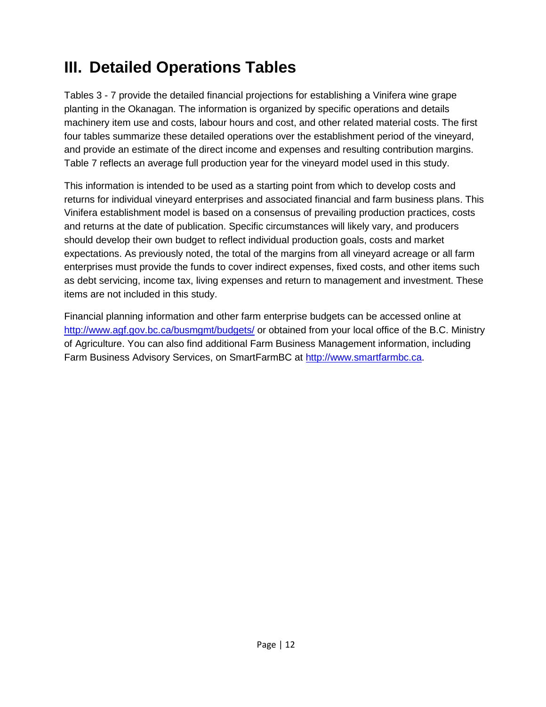### <span id="page-15-0"></span>**III. Detailed Operations Tables**

Tables 3 - 7 provide the detailed financial projections for establishing a Vinifera wine grape planting in the Okanagan. The information is organized by specific operations and details machinery item use and costs, labour hours and cost, and other related material costs. The first four tables summarize these detailed operations over the establishment period of the vineyard, and provide an estimate of the direct income and expenses and resulting contribution margins. Table 7 reflects an average full production year for the vineyard model used in this study.

This information is intended to be used as a starting point from which to develop costs and returns for individual vineyard enterprises and associated financial and farm business plans. This Vinifera establishment model is based on a consensus of prevailing production practices, costs and returns at the date of publication. Specific circumstances will likely vary, and producers should develop their own budget to reflect individual production goals, costs and market expectations. As previously noted, the total of the margins from all vineyard acreage or all farm enterprises must provide the funds to cover indirect expenses, fixed costs, and other items such as debt servicing, income tax, living expenses and return to management and investment. These items are not included in this study.

Financial planning information and other farm enterprise budgets can be accessed online at <http://www.agf.gov.bc.ca/busmgmt/budgets/> or obtained from your local office of the B.C. Ministry of Agriculture. You can also find additional Farm Business Management information, including Farm Business Advisory Services, on SmartFarmBC at [http://www.smartfarmbc.ca.](http://www.smartfarmbc.ca/)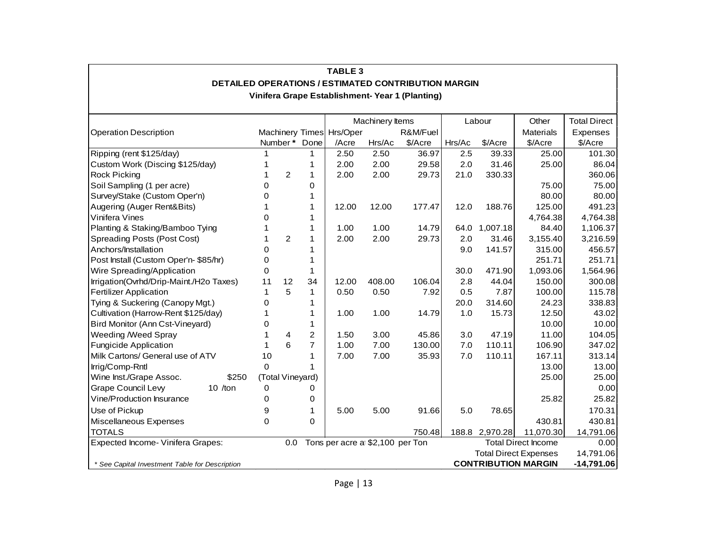|                                                |                  |                |                | <b>TABLE 3</b>           |                                  |                                                                                                        |        |                |                              |                     |
|------------------------------------------------|------------------|----------------|----------------|--------------------------|----------------------------------|--------------------------------------------------------------------------------------------------------|--------|----------------|------------------------------|---------------------|
|                                                |                  |                |                |                          |                                  | DETAILED OPERATIONS / ESTIMATED CONTRIBUTION MARGIN<br>Vinifera Grape Establishment- Year 1 (Planting) |        |                |                              |                     |
|                                                |                  |                |                | Machinery Items          |                                  |                                                                                                        | Labour |                | Other                        | <b>Total Direct</b> |
| <b>Operation Description</b>                   |                  |                |                | Machinery Times Hrs/Oper |                                  | R&M/Fuel                                                                                               |        |                | <b>Materials</b>             | Expenses            |
|                                                | Number* Done     |                |                | /Acre                    | Hrs/Ac                           | \$/Acre                                                                                                | Hrs/Ac | \$/Acre        | \$/Acre                      | \$/Acre             |
| Ripping (rent \$125/day)                       |                  |                | 1              | 2.50                     | 2.50                             | 36.97                                                                                                  | 2.5    | 39.33          | 25.00                        | 101.30              |
| Custom Work (Discing \$125/day)                | -1               |                | $\mathbf{1}$   | 2.00                     | 2.00                             | 29.58                                                                                                  | 2.0    | 31.46          | 25.00                        | 86.04               |
| <b>Rock Picking</b>                            |                  | $\overline{c}$ | $\mathbf{1}$   | 2.00                     | 2.00                             | 29.73                                                                                                  | 21.0   | 330.33         |                              | 360.06              |
| Soil Sampling (1 per acre)                     | 0                |                | 0              |                          |                                  |                                                                                                        |        |                | 75.00                        | 75.00               |
| Survey/Stake (Custom Oper'n)                   | 0                |                | 1              |                          |                                  |                                                                                                        |        |                | 80.00                        | 80.00               |
| Augering (Auger Rent&Bits)                     |                  |                | 1              | 12.00                    | 12.00                            | 177.47                                                                                                 | 12.0   | 188.76         | 125.00                       | 491.23              |
| Vinifera Vines                                 | 0                |                | 1              |                          |                                  |                                                                                                        |        |                | 4,764.38                     | 4,764.38            |
| Planting & Staking/Bamboo Tying                | 1                |                | 1              | 1.00                     | 1.00                             | 14.79                                                                                                  |        | 64.0 1,007.18  | 84.40                        | 1,106.37            |
| Spreading Posts (Post Cost)                    | 1                | 2              | $\mathbf{1}$   | 2.00                     | 2.00                             | 29.73                                                                                                  | 2.0    | 31.46          | 3,155.40                     | 3,216.59            |
| Anchors/Installation                           | 0                |                | 1              |                          |                                  |                                                                                                        | 9.0    | 141.57         | 315.00                       | 456.57              |
| Post Install (Custom Oper'n- \$85/hr)          | 0                |                | 1              |                          |                                  |                                                                                                        |        |                | 251.71                       | 251.71              |
| Wire Spreading/Application                     | 0                |                | $\mathbf{1}$   |                          |                                  |                                                                                                        | 30.0   | 471.90         | 1,093.06                     | 1,564.96            |
| Irrigation(Ovrhd/Drip-Maint./H2o Taxes)        | 11               | 12             | 34             | 12.00                    | 408.00                           | 106.04                                                                                                 | 2.8    | 44.04          | 150.00                       | 300.08              |
| <b>Fertilizer Application</b>                  | 1                | 5              | $\mathbf{1}$   | 0.50                     | 0.50                             | 7.92                                                                                                   | 0.5    | 7.87           | 100.00                       | 115.78              |
| Tying & Suckering (Canopy Mgt.)                | 0                |                | 1              |                          |                                  |                                                                                                        | 20.0   | 314.60         | 24.23                        | 338.83              |
| Cultivation (Harrow-Rent \$125/day)            |                  |                | 1              | 1.00                     | 1.00                             | 14.79                                                                                                  | 1.0    | 15.73          | 12.50                        | 43.02               |
| Bird Monitor (Ann Cst-Vineyard)                | 0                |                | 1              |                          |                                  |                                                                                                        |        |                | 10.00                        | 10.00               |
| Weeding /Weed Spray                            |                  | 4              | $\overline{2}$ | 1.50                     | 3.00                             | 45.86                                                                                                  | 3.0    | 47.19          | 11.00                        | 104.05              |
| <b>Fungicide Application</b>                   | 1                | 6              | $\overline{7}$ | 1.00                     | 7.00                             | 130.00                                                                                                 | 7.0    | 110.11         | 106.90                       | 347.02              |
| Milk Cartons/ General use of ATV               | 10               |                | 1              | 7.00                     | 7.00                             | 35.93                                                                                                  | $7.0$  | 110.11         | 167.11                       | 313.14              |
| Irrig/Comp-Rntl                                | $\mathbf 0$      |                |                |                          |                                  |                                                                                                        |        |                | 13.00                        | 13.00               |
| Wine Inst./Grape Assoc.<br>\$250               | (Total Vineyard) |                |                |                          |                                  |                                                                                                        |        |                | 25.00                        | 25.00               |
| Grape Council Levy<br>10 $/$ ton               | 0                |                | 0              |                          |                                  |                                                                                                        |        |                |                              | 0.00                |
| Vine/Production Insurance                      | 0                |                | 0              |                          |                                  |                                                                                                        |        |                | 25.82                        | 25.82               |
| Use of Pickup                                  | 9                |                | 1              | 5.00                     | 5.00                             | 91.66                                                                                                  | 5.0    | 78.65          |                              | 170.31              |
| Miscellaneous Expenses                         | 0                |                | 0              |                          |                                  |                                                                                                        |        |                | 430.81                       | 430.81              |
| <b>TOTALS</b>                                  |                  |                |                |                          |                                  | 750.48                                                                                                 |        | 188.8 2,970.28 | 11,070.30                    | 14,791.06           |
| Expected Income- Vinifera Grapes:              |                  | 0.0            |                |                          | Tons per acre at \$2,100 per Ton |                                                                                                        |        |                | <b>Total Direct Income</b>   | 0.00                |
|                                                |                  |                |                |                          |                                  |                                                                                                        |        |                | <b>Total Direct Expenses</b> | 14,791.06           |
| * See Capital Investment Table for Description |                  |                |                |                          |                                  |                                                                                                        |        |                | <b>CONTRIBUTION MARGIN</b>   | $-14,791.06$        |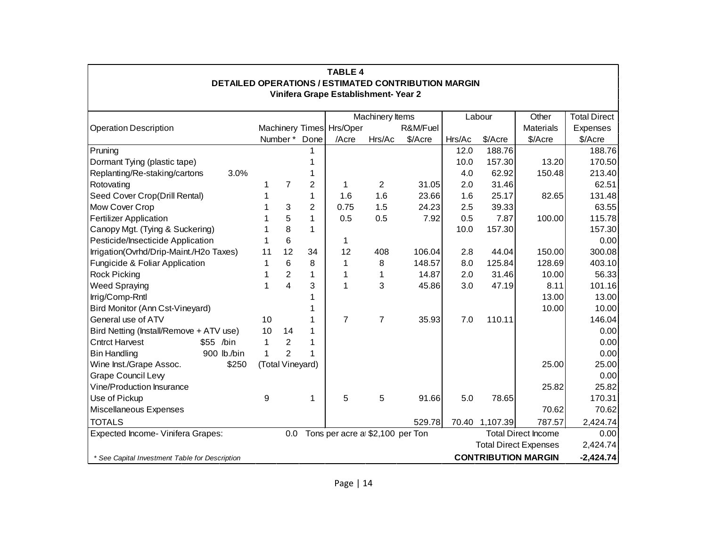|                                                |       |                  |                |                | <b>TABLE 4</b>                       |                 | DETAILED OPERATIONS / ESTIMATED CONTRIBUTION MARGIN |        |                |                              |                     |
|------------------------------------------------|-------|------------------|----------------|----------------|--------------------------------------|-----------------|-----------------------------------------------------|--------|----------------|------------------------------|---------------------|
|                                                |       |                  |                |                | Vinifera Grape Establishment- Year 2 |                 |                                                     |        |                |                              |                     |
|                                                |       |                  |                |                |                                      | Machinery Items |                                                     |        | Labour         | Other                        | <b>Total Direct</b> |
| <b>Operation Description</b>                   |       |                  |                |                | Machinery Times Hrs/Oper             |                 | R&M/Fuel                                            |        |                | <b>Materials</b>             | Expenses            |
|                                                |       | Number* Done     |                |                | /Acre                                | Hrs/Ac          | \$/Acre                                             | Hrs/Ac | \$/Acre        | \$/Acre                      | \$/Acre             |
| Pruning                                        |       |                  |                |                |                                      |                 |                                                     | 12.0   | 188.76         |                              | 188.76              |
| Dormant Tying (plastic tape)                   |       |                  |                |                |                                      |                 |                                                     | 10.0   | 157.30         | 13.20                        | 170.50              |
| Replanting/Re-staking/cartons                  | 3.0%  |                  |                |                |                                      |                 |                                                     | 4.0    | 62.92          | 150.48                       | 213.40              |
| Rotovating                                     |       | 1                | $\overline{7}$ | $\overline{2}$ |                                      | 2               | 31.05                                               | 2.0    | 31.46          |                              | 62.51               |
| Seed Cover Crop(Drill Rental)                  |       |                  |                | 1              | 1.6                                  | 1.6             | 23.66                                               | 1.6    | 25.17          | 82.65                        | 131.48              |
| Mow Cover Crop                                 |       |                  | 3              | $\overline{2}$ | 0.75                                 | 1.5             | 24.23                                               | 2.5    | 39.33          |                              | 63.55               |
| <b>Fertilizer Application</b>                  |       |                  | 5              | $\mathbf{1}$   | 0.5                                  | 0.5             | 7.92                                                | 0.5    | 7.87           | 100.00                       | 115.78              |
| Canopy Mgt. (Tying & Suckering)                |       |                  | 8              | $\mathbf{1}$   |                                      |                 |                                                     | 10.0   | 157.30         |                              | 157.30              |
| Pesticide/Insecticide Application              |       |                  | 6              |                |                                      |                 |                                                     |        |                |                              | 0.00                |
| Irrigation(Ovrhd/Drip-Maint./H2o Taxes)        |       | 11               | 12             | 34             | 12                                   | 408             | 106.04                                              | 2.8    | 44.04          | 150.00                       | 300.08              |
| Fungicide & Foliar Application                 |       | 1                | 6              | 8              | 1                                    | 8               | 148.57                                              | 8.0    | 125.84         | 128.69                       | 403.10              |
| <b>Rock Picking</b>                            |       |                  | $\overline{2}$ | $\mathbf{1}$   |                                      |                 | 14.87                                               | 2.0    | 31.46          | 10.00                        | 56.33               |
| <b>Weed Spraying</b>                           |       | 1                | $\overline{4}$ | 3              |                                      | 3               | 45.86                                               | 3.0    | 47.19          | 8.11                         | 101.16              |
| Irrig/Comp-Rntl                                |       |                  |                |                |                                      |                 |                                                     |        |                | 13.00                        | 13.00               |
| Bird Monitor (Ann Cst-Vineyard)                |       |                  |                |                |                                      |                 |                                                     |        |                | 10.00                        | 10.00               |
| General use of ATV                             |       | 10               |                |                | $\overline{7}$                       | $\overline{7}$  | 35.93                                               | 7.0    | 110.11         |                              | 146.04              |
| Bird Netting (Install/Remove + ATV use)        |       | 10               | 14             |                |                                      |                 |                                                     |        |                |                              | 0.00                |
| <b>Cntrct Harvest</b><br>\$55 /bin             |       | $\mathbf{1}$     | $\overline{2}$ |                |                                      |                 |                                                     |        |                |                              | 0.00                |
| <b>Bin Handling</b><br>900 lb./bin             |       | $\mathbf{1}$     | $\overline{2}$ |                |                                      |                 |                                                     |        |                |                              | 0.00                |
| Wine Inst./Grape Assoc.                        | \$250 | (Total Vineyard) |                |                |                                      |                 |                                                     |        |                | 25.00                        | 25.00               |
| <b>Grape Council Levy</b>                      |       |                  |                |                |                                      |                 |                                                     |        |                |                              | 0.00                |
| Vine/Production Insurance                      |       |                  |                |                |                                      |                 |                                                     |        |                | 25.82                        | 25.82               |
| Use of Pickup                                  |       | 9                |                | 1              | 5                                    | 5               | 91.66                                               | 5.0    | 78.65          |                              | 170.31              |
| Miscellaneous Expenses                         |       |                  |                |                |                                      |                 |                                                     |        |                | 70.62                        | 70.62               |
| <b>TOTALS</b>                                  |       |                  |                |                |                                      |                 | 529.78                                              |        | 70.40 1,107.39 | 787.57                       | 2,424.74            |
| Expected Income- Vinifera Grapes:              |       |                  | 0.0            |                | Tons per acre a \$2,100 per Ton      |                 |                                                     |        |                | <b>Total Direct Income</b>   | 0.00                |
|                                                |       |                  |                |                |                                      |                 |                                                     |        |                | <b>Total Direct Expenses</b> | 2,424.74            |
| * See Capital Investment Table for Description |       |                  |                |                |                                      |                 |                                                     |        |                | <b>CONTRIBUTION MARGIN</b>   | $-2,424.74$         |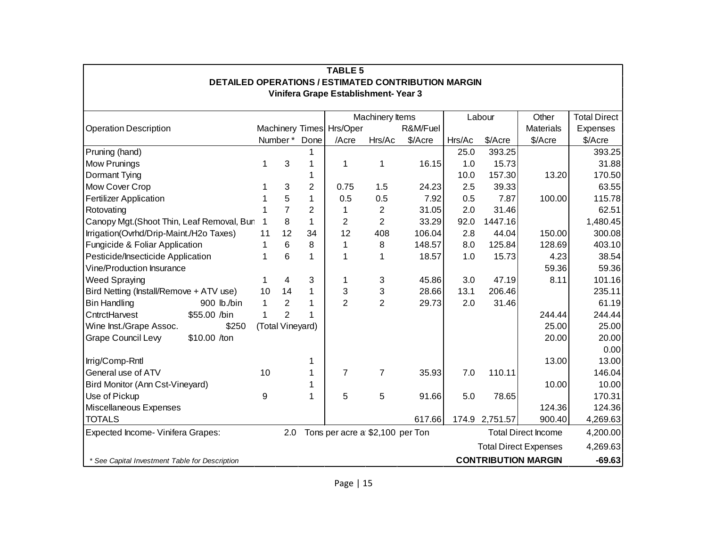| <b>TABLE 5</b>                                 |                                                            |                  |                |                |                                      |                |          |        |          |                              |                     |  |
|------------------------------------------------|------------------------------------------------------------|------------------|----------------|----------------|--------------------------------------|----------------|----------|--------|----------|------------------------------|---------------------|--|
|                                                | <b>DETAILED OPERATIONS / ESTIMATED CONTRIBUTION MARGIN</b> |                  |                |                |                                      |                |          |        |          |                              |                     |  |
|                                                |                                                            |                  |                |                | Vinifera Grape Establishment- Year 3 |                |          |        |          |                              |                     |  |
| Machinery Items<br>Labour                      |                                                            |                  |                |                |                                      |                |          |        |          |                              |                     |  |
|                                                |                                                            |                  |                |                |                                      |                |          |        |          | Other                        | <b>Total Direct</b> |  |
| <b>Operation Description</b>                   |                                                            |                  |                |                | Machinery Times Hrs/Oper             |                | R&M/Fuel |        |          | <b>Materials</b>             | Expenses            |  |
|                                                |                                                            | Number*          |                | Done           | /Acre                                | Hrs/Ac         | \$/Acre  | Hrs/Ac | \$/Acre  | \$/Acre                      | \$/Acre             |  |
| Pruning (hand)                                 |                                                            |                  |                | 1              |                                      |                |          | 25.0   | 393.25   |                              | 393.25              |  |
| Mow Prunings                                   |                                                            | 1                | 3              | 1              | 1                                    | 1              | 16.15    | 1.0    | 15.73    |                              | 31.88               |  |
| Dormant Tying                                  |                                                            |                  |                | 1              |                                      |                |          | 10.0   | 157.30   | 13.20                        | 170.50              |  |
| Mow Cover Crop                                 |                                                            | 1                | 3              | $\overline{2}$ | 0.75                                 | 1.5            | 24.23    | 2.5    | 39.33    |                              | 63.55               |  |
| <b>Fertilizer Application</b>                  |                                                            |                  | 5              | 1              | 0.5                                  | 0.5            | 7.92     | 0.5    | 7.87     | 100.00                       | 115.78              |  |
| Rotovating                                     |                                                            |                  | $\overline{7}$ | $\overline{2}$ | 1                                    | $\overline{2}$ | 31.05    | 2.0    | 31.46    |                              | 62.51               |  |
| Canopy Mgt.(Shoot Thin, Leaf Removal, Bun      |                                                            | 1                | 8              | $\mathbf{1}$   | 2                                    | $\overline{2}$ | 33.29    | 92.0   | 1447.16  |                              | 1,480.45            |  |
| Irrigation(Ovrhd/Drip-Maint./H2o Taxes)        |                                                            | 11               | 12             | 34             | 12                                   | 408            | 106.04   | 2.8    | 44.04    | 150.00                       | 300.08              |  |
| Fungicide & Foliar Application                 |                                                            | 1                | 6              | 8              | 1                                    | 8              | 148.57   | 8.0    | 125.84   | 128.69                       | 403.10              |  |
| Pesticide/Insecticide Application              |                                                            | 1                | 6              | 1              | 1                                    | 1              | 18.57    | 1.0    | 15.73    | 4.23                         | 38.54               |  |
| Vine/Production Insurance                      |                                                            |                  |                |                |                                      |                |          |        |          | 59.36                        | 59.36               |  |
| <b>Weed Spraying</b>                           |                                                            | 1                | 4              | 3              | 1                                    | 3              | 45.86    | 3.0    | 47.19    | 8.11                         | 101.16              |  |
| Bird Netting (Install/Remove + ATV use)        |                                                            | 10               | 14             | 1              | 3                                    | 3              | 28.66    | 13.1   | 206.46   |                              | 235.11              |  |
| <b>Bin Handling</b>                            | 900 lb./bin                                                | 1                | $\overline{2}$ | 1              | $\overline{2}$                       | $\overline{2}$ | 29.73    | 2.0    | 31.46    |                              | 61.19               |  |
| CntrctHarvest                                  | \$55.00 /bin                                               | 1                | $\overline{2}$ | 1              |                                      |                |          |        |          | 244.44                       | 244.44              |  |
| Wine Inst./Grape Assoc.                        | \$250                                                      | (Total Vineyard) |                |                |                                      |                |          |        |          | 25.00                        | 25.00               |  |
| <b>Grape Council Levy</b>                      | \$10.00 /ton                                               |                  |                |                |                                      |                |          |        |          | 20.00                        | 20.00               |  |
|                                                |                                                            |                  |                |                |                                      |                |          |        |          |                              | 0.00                |  |
| Irrig/Comp-Rntl                                |                                                            |                  |                | 1              |                                      |                |          |        |          | 13.00                        | 13.00               |  |
| General use of ATV                             |                                                            | 10               |                | 1              | 7                                    | 7              | 35.93    | 7.0    | 110.11   |                              | 146.04              |  |
| Bird Monitor (Ann Cst-Vineyard)                |                                                            |                  |                | 1              |                                      |                |          |        |          | 10.00                        | 10.00               |  |
| Use of Pickup                                  |                                                            | 9                |                | 1              | 5                                    | 5              | 91.66    | 5.0    | 78.65    |                              | 170.31              |  |
| Miscellaneous Expenses                         |                                                            |                  |                |                |                                      |                |          |        |          | 124.36                       | 124.36              |  |
| <b>TOTALS</b>                                  |                                                            |                  |                |                |                                      |                | 617.66   | 174.9  | 2,751.57 | 900.40                       | 4,269.63            |  |
| Expected Income- Vinifera Grapes:              |                                                            |                  | 2.0            |                | Tons per acre at \$2,100 per Ton     |                |          |        |          | <b>Total Direct Income</b>   | 4,200.00            |  |
|                                                |                                                            |                  |                |                |                                      |                |          |        |          | <b>Total Direct Expenses</b> | 4,269.63            |  |
| * See Capital Investment Table for Description |                                                            |                  |                |                |                                      |                |          |        |          | <b>CONTRIBUTION MARGIN</b>   | $-69.63$            |  |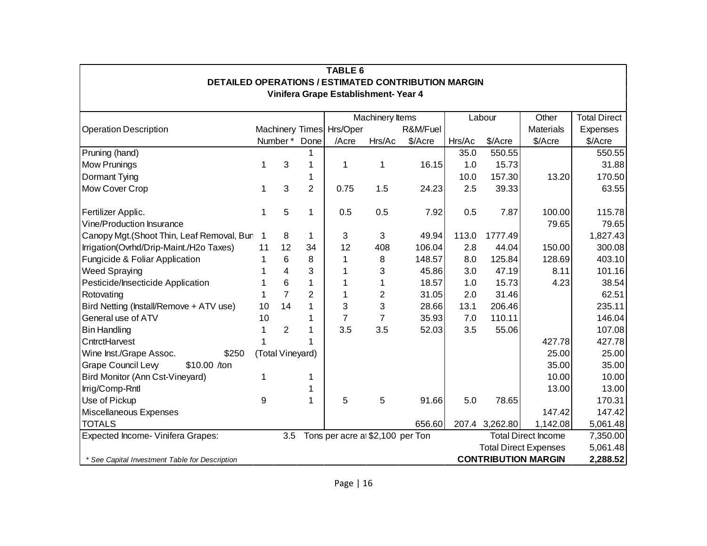| <b>TABLE 6</b>                                                                                     |    |                         |                |                          |                                 |          |        |                |                              |                     |
|----------------------------------------------------------------------------------------------------|----|-------------------------|----------------|--------------------------|---------------------------------|----------|--------|----------------|------------------------------|---------------------|
| <b>DETAILED OPERATIONS / ESTIMATED CONTRIBUTION MARGIN</b><br>Vinifera Grape Establishment- Year 4 |    |                         |                |                          |                                 |          |        |                |                              |                     |
|                                                                                                    |    |                         |                |                          |                                 |          |        |                |                              |                     |
|                                                                                                    |    |                         |                |                          | Machinery Items                 |          |        | Labour         | Other                        | <b>Total Direct</b> |
| <b>Operation Description</b>                                                                       |    |                         |                | Machinery Times Hrs/Oper |                                 | R&M/Fuel |        |                | <b>Materials</b>             | Expenses            |
|                                                                                                    |    | Number*                 | Done           | /Acre                    | Hrs/Ac                          | \$/Acre  | Hrs/Ac | \$/Acre        | \$/Acre                      | \$/Acre             |
| Pruning (hand)                                                                                     |    |                         | 1              |                          |                                 |          | 35.0   | 550.55         |                              | 550.55              |
| <b>Mow Prunings</b>                                                                                | 1  | 3                       | 1              | 1                        | 1                               | 16.15    | 1.0    | 15.73          |                              | 31.88               |
| Dormant Tying                                                                                      |    |                         | 1              |                          |                                 |          | 10.0   | 157.30         | 13.20                        | 170.50              |
| Mow Cover Crop                                                                                     | 1  | 3                       | $\overline{2}$ | 0.75                     | 1.5                             | 24.23    | 2.5    | 39.33          |                              | 63.55               |
| Fertilizer Applic.                                                                                 |    | 5                       | 1              | 0.5                      | 0.5                             | 7.92     | 0.5    | 7.87           | 100.00                       | 115.78              |
| Vine/Production Insurance                                                                          |    |                         |                |                          |                                 |          |        |                | 79.65                        | 79.65               |
| Canopy Mgt. (Shoot Thin, Leaf Removal, Bun                                                         | 1  | 8                       | 1              | 3                        | 3                               | 49.94    | 113.0  | 1777.49        |                              | 1,827.43            |
| Irrigation(Ovrhd/Drip-Maint./H2o Taxes)                                                            | 11 | 12                      | 34             | 12                       | 408                             | 106.04   | 2.8    | 44.04          | 150.00                       | 300.08              |
| Fungicide & Foliar Application                                                                     | 1  | 6                       | 8              | 1                        | 8                               | 148.57   | 8.0    | 125.84         | 128.69                       | 403.10              |
| <b>Weed Spraying</b>                                                                               |    | $\overline{\mathbf{4}}$ | 3              | 1                        | 3                               | 45.86    | 3.0    | 47.19          | 8.11                         | 101.16              |
| Pesticide/Insecticide Application                                                                  |    | 6                       | 1              | 1                        | 1                               | 18.57    | 1.0    | 15.73          | 4.23                         | 38.54               |
| Rotovating                                                                                         | 1  | $\overline{7}$          | $\overline{2}$ | 1                        | 2                               | 31.05    | 2.0    | 31.46          |                              | 62.51               |
| Bird Netting (Install/Remove + ATV use)                                                            | 10 | 14                      | $\overline{1}$ | 3                        | 3                               | 28.66    | 13.1   | 206.46         |                              | 235.11              |
| General use of ATV                                                                                 | 10 |                         | 1              | $\overline{7}$           | $\overline{7}$                  | 35.93    | 7.0    | 110.11         |                              | 146.04              |
| <b>Bin Handling</b>                                                                                |    | $\overline{2}$          | 1              | 3.5                      | 3.5                             | 52.03    | 3.5    | 55.06          |                              | 107.08              |
| CntrctHarvest                                                                                      |    |                         |                |                          |                                 |          |        |                | 427.78                       | 427.78              |
| Wine Inst./Grape Assoc.<br>\$250                                                                   |    | (Total Vineyard)        |                |                          |                                 |          |        |                | 25.00                        | 25.00               |
| <b>Grape Council Levy</b><br>\$10.00 /ton                                                          |    |                         |                |                          |                                 |          |        |                | 35.00                        | 35.00               |
| Bird Monitor (Ann Cst-Vineyard)                                                                    | 1  |                         | 1              |                          |                                 |          |        |                | 10.00                        | 10.00               |
| Irrig/Comp-Rntl                                                                                    |    |                         | 1              |                          |                                 |          |        |                | 13.00                        | 13.00               |
| Use of Pickup                                                                                      | 9  |                         | 1              | 5                        | 5                               | 91.66    | 5.0    | 78.65          |                              | 170.31              |
| Miscellaneous Expenses                                                                             |    |                         |                |                          |                                 |          |        |                | 147.42                       | 147.42              |
| <b>TOTALS</b>                                                                                      |    |                         |                |                          |                                 | 656.60   |        | 207.4 3,262.80 | 1,142.08                     | 5,061.48            |
| Expected Income- Vinifera Grapes:                                                                  |    | 3.5                     |                |                          | Tons per acre a \$2,100 per Ton |          |        |                | <b>Total Direct Income</b>   | 7,350.00            |
|                                                                                                    |    |                         |                |                          |                                 |          |        |                | <b>Total Direct Expenses</b> | 5,061.48            |
| <b>CONTRIBUTION MARGIN</b><br>2,288.52<br>* See Capital Investment Table for Description           |    |                         |                |                          |                                 |          |        |                |                              |                     |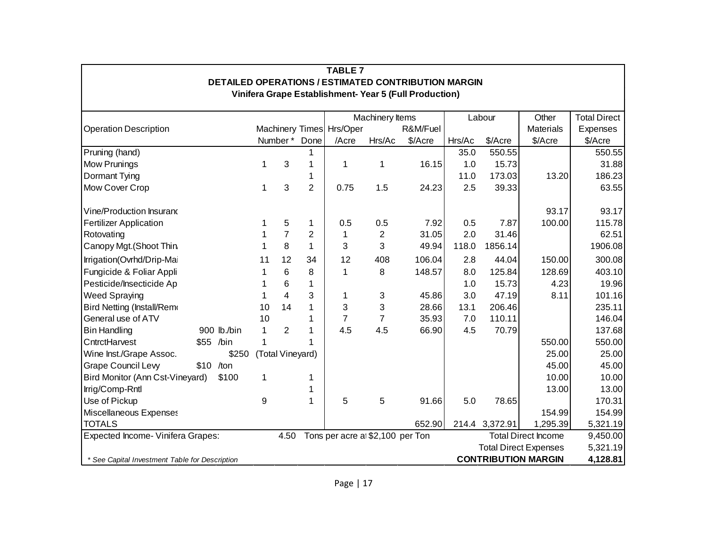| <b>TABLE 7</b><br><b>DETAILED OPERATIONS / ESTIMATED CONTRIBUTION MARGIN</b> |                                                                                          |              |                  |                |                          |                                  |                                                       |        |                |                              |                     |
|------------------------------------------------------------------------------|------------------------------------------------------------------------------------------|--------------|------------------|----------------|--------------------------|----------------------------------|-------------------------------------------------------|--------|----------------|------------------------------|---------------------|
|                                                                              |                                                                                          |              |                  |                |                          |                                  | Vinifera Grape Establishment-Year 5 (Full Production) |        |                |                              |                     |
|                                                                              |                                                                                          |              |                  |                |                          |                                  |                                                       |        |                |                              |                     |
|                                                                              |                                                                                          |              |                  |                |                          | Machinery Items                  |                                                       |        | Labour         | Other                        | <b>Total Direct</b> |
| <b>Operation Description</b>                                                 |                                                                                          |              |                  |                | Machinery Times Hrs/Oper |                                  | R&M/Fuel                                              |        |                | <b>Materials</b>             | Expenses            |
|                                                                              |                                                                                          |              | Number*          | Done           | /Acre                    | Hrs/Ac                           | \$/Acre                                               | Hrs/Ac | \$/Acre        | \$/Acre                      | \$/Acre             |
| Pruning (hand)                                                               |                                                                                          |              |                  | 1              |                          |                                  |                                                       | 35.0   | 550.55         |                              | 550.55              |
| <b>Mow Prunings</b>                                                          |                                                                                          | 1            | 3                | 1              | 1                        | 1                                | 16.15                                                 | 1.0    | 15.73          |                              | 31.88               |
| Dormant Tying                                                                |                                                                                          |              |                  | 1              |                          |                                  |                                                       | 11.0   | 173.03         | 13.20                        | 186.23              |
| Mow Cover Crop                                                               |                                                                                          | 1            | 3                | $\overline{2}$ | 0.75                     | 1.5                              | 24.23                                                 | 2.5    | 39.33          |                              | 63.55               |
| Vine/Production Insurand                                                     |                                                                                          |              |                  |                |                          |                                  |                                                       |        |                | 93.17                        | 93.17               |
| <b>Fertilizer Application</b>                                                |                                                                                          | 1            | 5                | 1              | 0.5                      | 0.5                              | 7.92                                                  | 0.5    | 7.87           | 100.00                       | 115.78              |
| Rotovating                                                                   |                                                                                          | 1            | $\overline{7}$   | $\overline{2}$ | 1                        | $\overline{c}$                   | 31.05                                                 | 2.0    | 31.46          |                              | 62.51               |
| Canopy Mgt. (Shoot Thin                                                      |                                                                                          | 1            | 8                | 1              | 3                        | 3                                | 49.94                                                 | 118.0  | 1856.14        |                              | 1906.08             |
| Irrigation(Ovrhd/Drip-Mai                                                    |                                                                                          | 11           | 12               | 34             | 12                       | 408                              | 106.04                                                | 2.8    | 44.04          | 150.00                       | 300.08              |
| Fungicide & Foliar Appli                                                     |                                                                                          | 1            | 6                | 8              | 1                        | 8                                | 148.57                                                | 8.0    | 125.84         | 128.69                       | 403.10              |
| Pesticide/Insecticide Ap                                                     |                                                                                          | 1            | 6                | 1              |                          |                                  |                                                       | 1.0    | 15.73          | 4.23                         | 19.96               |
| <b>Weed Spraying</b>                                                         |                                                                                          | 1            | $\overline{4}$   | 3              | 1                        | 3                                | 45.86                                                 | 3.0    | 47.19          | 8.11                         | 101.16              |
| Bird Netting (Install/Remo                                                   |                                                                                          | 10           | 14               | 1              | 3                        | 3                                | 28.66                                                 | 13.1   | 206.46         |                              | 235.11              |
| General use of ATV                                                           |                                                                                          | 10           |                  | 1              | $\overline{7}$           | $\overline{7}$                   | 35.93                                                 | 7.0    | 110.11         |                              | 146.04              |
| <b>Bin Handling</b>                                                          | 900 lb./bin                                                                              | $\mathbf{1}$ | $\overline{2}$   | 1              | 4.5                      | 4.5                              | 66.90                                                 | 4.5    | 70.79          |                              | 137.68              |
| CntrctHarvest                                                                | \$55 /bin                                                                                | 1            |                  | 1              |                          |                                  |                                                       |        |                | 550.00                       | 550.00              |
| Wine Inst./Grape Assoc.                                                      | \$250                                                                                    |              | (Total Vineyard) |                |                          |                                  |                                                       |        |                | 25.00                        | 25.00               |
| <b>Grape Council Levy</b>                                                    | $$10$ /ton                                                                               |              |                  |                |                          |                                  |                                                       |        |                | 45.00                        | 45.00               |
| Bird Monitor (Ann Cst-Vineyard)                                              | \$100                                                                                    | 1            |                  | 1              |                          |                                  |                                                       |        |                | 10.00                        | 10.00               |
| Irrig/Comp-Rntl                                                              |                                                                                          |              |                  | 1              |                          |                                  |                                                       |        |                | 13.00                        | 13.00               |
| Use of Pickup                                                                |                                                                                          | 9            |                  | 1              | 5                        | 5                                | 91.66                                                 | 5.0    | 78.65          |                              | 170.31              |
| Miscellaneous Expenses                                                       |                                                                                          |              |                  |                |                          |                                  |                                                       |        |                | 154.99                       | 154.99              |
| <b>TOTALS</b>                                                                |                                                                                          |              |                  |                |                          |                                  | 652.90                                                |        | 214.4 3,372.91 | 1,295.39                     | 5,321.19            |
| Expected Income- Vinifera Grapes:                                            |                                                                                          |              | 4.50             |                |                          | Tons per acre at \$2,100 per Ton |                                                       |        |                | <b>Total Direct Income</b>   | 9,450.00            |
|                                                                              |                                                                                          |              |                  |                |                          |                                  |                                                       |        |                | <b>Total Direct Expenses</b> | 5,321.19            |
|                                                                              | <b>CONTRIBUTION MARGIN</b><br>4,128.81<br>* See Capital Investment Table for Description |              |                  |                |                          |                                  |                                                       |        |                |                              |                     |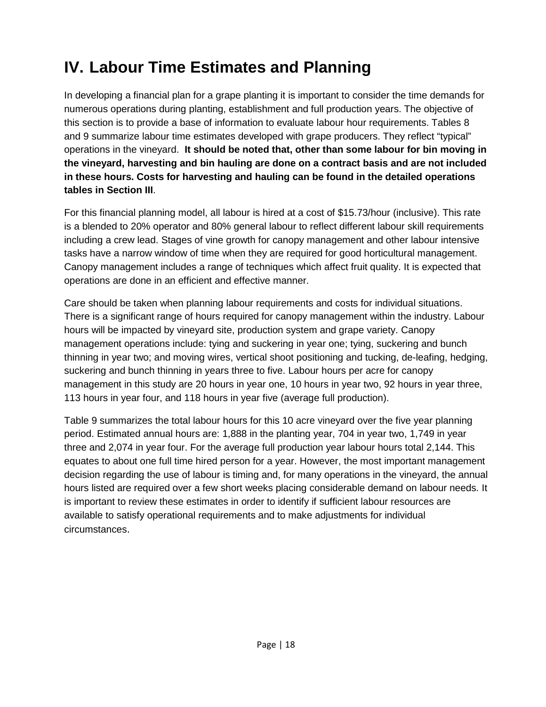### <span id="page-21-0"></span>**IV. Labour Time Estimates and Planning**

In developing a financial plan for a grape planting it is important to consider the time demands for numerous operations during planting, establishment and full production years. The objective of this section is to provide a base of information to evaluate labour hour requirements. Tables 8 and 9 summarize labour time estimates developed with grape producers. They reflect "typical" operations in the vineyard. **It should be noted that, other than some labour for bin moving in the vineyard, harvesting and bin hauling are done on a contract basis and are not included in these hours. Costs for harvesting and hauling can be found in the detailed operations tables in Section III**.

For this financial planning model, all labour is hired at a cost of \$15.73/hour (inclusive). This rate is a blended to 20% operator and 80% general labour to reflect different labour skill requirements including a crew lead. Stages of vine growth for canopy management and other labour intensive tasks have a narrow window of time when they are required for good horticultural management. Canopy management includes a range of techniques which affect fruit quality. It is expected that operations are done in an efficient and effective manner.

Care should be taken when planning labour requirements and costs for individual situations. There is a significant range of hours required for canopy management within the industry. Labour hours will be impacted by vineyard site, production system and grape variety. Canopy management operations include: tying and suckering in year one; tying, suckering and bunch thinning in year two; and moving wires, vertical shoot positioning and tucking, de-leafing, hedging, suckering and bunch thinning in years three to five. Labour hours per acre for canopy management in this study are 20 hours in year one, 10 hours in year two, 92 hours in year three, 113 hours in year four, and 118 hours in year five (average full production).

Table 9 summarizes the total labour hours for this 10 acre vineyard over the five year planning period. Estimated annual hours are: 1,888 in the planting year, 704 in year two, 1,749 in year three and 2,074 in year four. For the average full production year labour hours total 2,144. This equates to about one full time hired person for a year. However, the most important management decision regarding the use of labour is timing and, for many operations in the vineyard, the annual hours listed are required over a few short weeks placing considerable demand on labour needs. It is important to review these estimates in order to identify if sufficient labour resources are available to satisfy operational requirements and to make adjustments for individual circumstances.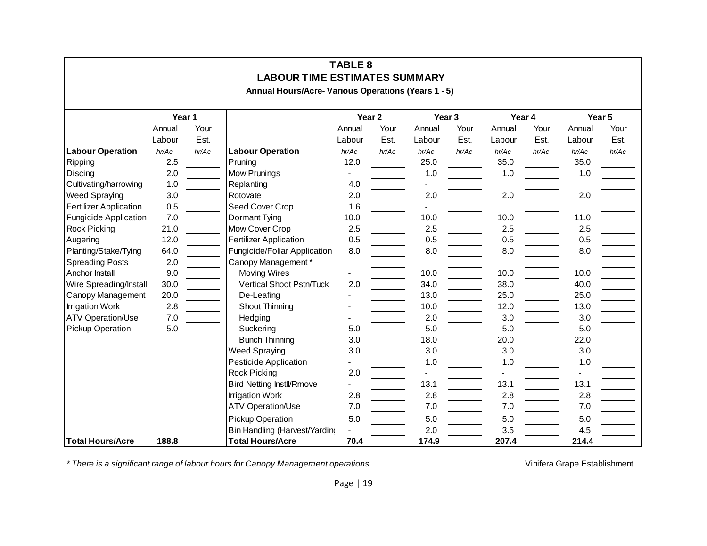| TABLE 8<br><b>LABOUR TIME ESTIMATES SUMMARY</b> |        |       |                                                     |                   |       |        |       |        |       |        |       |
|-------------------------------------------------|--------|-------|-----------------------------------------------------|-------------------|-------|--------|-------|--------|-------|--------|-------|
|                                                 |        |       | Annual Hours/Acre- Various Operations (Years 1 - 5) |                   |       |        |       |        |       |        |       |
|                                                 | Year 1 |       |                                                     | Year <sub>2</sub> |       | Year 3 |       | Year 4 |       | Year 5 |       |
|                                                 | Annual | Your  |                                                     | Annual            | Your  | Annual | Your  | Annual | Your  | Annual | Your  |
|                                                 | Labour | Est.  |                                                     | Labour            | Est.  | Labour | Est.  | Labour | Est.  | Labour | Est.  |
| <b>Labour Operation</b>                         | hr/Ac  | hr/Ac | <b>Labour Operation</b>                             | hr/Ac             | hr/Ac | hr/Ac  | hr/Ac | hr/Ac  | hr/Ac | hr/Ac  | hr/Ac |
| Ripping                                         | 2.5    |       | Pruning                                             | 12.0              |       | 25.0   |       | 35.0   |       | 35.0   |       |
| Discing                                         | 2.0    |       | Mow Prunings                                        |                   |       | 1.0    |       | 1.0    |       | 1.0    |       |
| Cultivating/harrowing                           | 1.0    |       | Replanting                                          | 4.0               |       |        |       |        |       |        |       |
| <b>Weed Spraying</b>                            | 3.0    |       | Rotovate                                            | 2.0               |       | 2.0    |       | 2.0    |       | 2.0    |       |
| <b>Fertilizer Application</b>                   | 0.5    |       | Seed Cover Crop                                     | 1.6               |       |        |       |        |       |        |       |
| <b>Fungicide Application</b>                    | 7.0    |       | Dormant Tying                                       | 10.0              |       | 10.0   |       | 10.0   |       | 11.0   |       |
| <b>Rock Picking</b>                             | 21.0   |       | Mow Cover Crop                                      | 2.5               |       | 2.5    |       | 2.5    |       | 2.5    |       |
| Augering                                        | 12.0   |       | <b>Fertilizer Application</b>                       | 0.5               |       | 0.5    |       | 0.5    |       | 0.5    |       |
| Planting/Stake/Tying                            | 64.0   |       | Fungicide/Foliar Application                        | 8.0               |       | 8.0    |       | 8.0    |       | 8.0    |       |
| <b>Spreading Posts</b>                          | 2.0    |       | Canopy Management*                                  |                   |       |        |       |        |       |        |       |
| Anchor Install                                  | 9.0    |       | <b>Moving Wires</b>                                 |                   |       | 10.0   |       | 10.0   |       | 10.0   |       |
| Wire Spreading/Install                          | 30.0   |       | Vertical Shoot Pstn/Tuck                            | 2.0               |       | 34.0   |       | 38.0   |       | 40.0   |       |
| Canopy Management                               | 20.0   |       | De-Leafing                                          |                   |       | 13.0   |       | 25.0   |       | 25.0   |       |
| <b>Irrigation Work</b>                          | 2.8    |       | Shoot Thinning                                      |                   |       | 10.0   |       | 12.0   |       | 13.0   |       |
| ATV Operation/Use                               | 7.0    |       | Hedging                                             |                   |       | 2.0    |       | 3.0    |       | 3.0    |       |
| Pickup Operation                                | 5.0    |       | Suckering                                           | 5.0               |       | 5.0    |       | 5.0    |       | 5.0    |       |
|                                                 |        |       | <b>Bunch Thinning</b>                               | 3.0               |       | 18.0   |       | 20.0   |       | 22.0   |       |
|                                                 |        |       | <b>Weed Spraying</b>                                | 3.0               |       | 3.0    |       | 3.0    |       | 3.0    |       |
|                                                 |        |       | Pesticide Application                               |                   |       | 1.0    |       | 1.0    |       | 1.0    |       |
|                                                 |        |       | <b>Rock Picking</b>                                 | 2.0               |       |        |       |        |       |        |       |
|                                                 |        |       | <b>Bird Netting InstII/Rmove</b>                    |                   |       | 13.1   |       | 13.1   |       | 13.1   |       |
|                                                 |        |       | <b>Irrigation Work</b>                              | 2.8               |       | 2.8    |       | 2.8    |       | 2.8    |       |
|                                                 |        |       | <b>ATV Operation/Use</b>                            | 7.0               |       | 7.0    |       | 7.0    |       | 7.0    |       |
|                                                 |        |       | Pickup Operation                                    | 5.0               |       | 5.0    |       | 5.0    |       | 5.0    |       |
|                                                 |        |       | Bin Handling (Harvest/Yarding                       |                   |       | 2.0    |       | 3.5    |       | 4.5    |       |
| <b>Total Hours/Acre</b>                         | 188.8  |       | <b>Total Hours/Acre</b>                             | 70.4              |       | 174.9  |       | 207.4  |       | 214.4  |       |

\* There is a significant range of labour hours for Canopy Management operations.<br>
vinifera Grape Establishment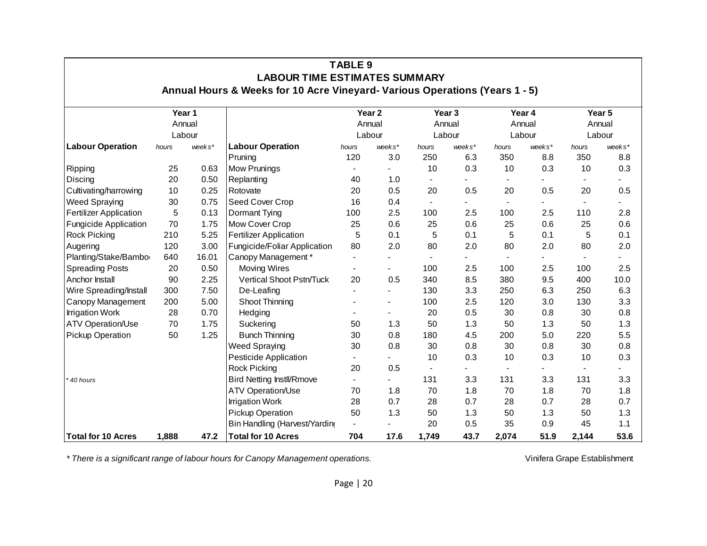| <b>TABLE 9</b><br><b>LABOUR TIME ESTIMATES SUMMARY</b> |       |        |                                                                             |                          |                          |                          |                          |                |        |                          |        |
|--------------------------------------------------------|-------|--------|-----------------------------------------------------------------------------|--------------------------|--------------------------|--------------------------|--------------------------|----------------|--------|--------------------------|--------|
|                                                        |       |        | Annual Hours & Weeks for 10 Acre Vineyard- Various Operations (Years 1 - 5) |                          |                          |                          |                          |                |        |                          |        |
|                                                        |       | Year 1 |                                                                             |                          | Year <sub>2</sub>        |                          | Year <sub>3</sub>        |                | Year 4 |                          | Year 5 |
|                                                        |       | Annual |                                                                             |                          | Annual                   | Annual                   |                          | Annual         |        |                          | Annual |
|                                                        |       | Labour |                                                                             | Labour                   |                          |                          | Labour                   |                | Labour |                          | Labour |
| <b>Labour Operation</b>                                | hours | weeks* | <b>Labour Operation</b>                                                     | hours                    | weeks*                   | hours                    | weeks*                   | hours          | weeks* | hours                    | weeks* |
|                                                        |       |        | Pruning                                                                     | 120                      | 3.0                      | 250                      | 6.3                      | 350            | 8.8    | 350                      | 8.8    |
| Ripping                                                | 25    | 0.63   | <b>Mow Prunings</b>                                                         |                          |                          | 10                       | 0.3                      | 10             | 0.3    | 10                       | 0.3    |
| Discing                                                | 20    | 0.50   | Replanting                                                                  | 40                       | 1.0                      | $\blacksquare$           |                          | $\blacksquare$ |        | $\blacksquare$           |        |
| Cultivating/harrowing                                  | 10    | 0.25   | Rotovate                                                                    | 20                       | 0.5                      | 20                       | 0.5                      | 20             | 0.5    | 20                       | 0.5    |
| Weed Spraying                                          | 30    | 0.75   | Seed Cover Crop                                                             | 16                       | 0.4                      | $\overline{\phantom{a}}$ |                          | $\blacksquare$ |        | $\overline{\phantom{a}}$ |        |
| Fertilizer Application                                 | 5     | 0.13   | Dormant Tying                                                               | 100                      | 2.5                      | 100                      | 2.5                      | 100            | 2.5    | 110                      | 2.8    |
| Fungicide Application                                  | 70    | 1.75   | Mow Cover Crop                                                              | 25                       | 0.6                      | 25                       | 0.6                      | 25             | 0.6    | 25                       | 0.6    |
| <b>Rock Picking</b>                                    | 210   | 5.25   | Fertilizer Application                                                      | 5                        | 0.1                      | 5                        | 0.1                      | 5              | 0.1    | 5                        | 0.1    |
| Augering                                               | 120   | 3.00   | Fungicide/Foliar Application                                                | 80                       | 2.0                      | 80                       | 2.0                      | 80             | 2.0    | 80                       | 2.0    |
| Planting/Stake/Bambo                                   | 640   | 16.01  | Canopy Management*                                                          |                          |                          |                          |                          |                |        |                          |        |
| <b>Spreading Posts</b>                                 | 20    | 0.50   | <b>Moving Wires</b>                                                         |                          |                          | 100                      | 2.5                      | 100            | 2.5    | 100                      | 2.5    |
| Anchor Install                                         | 90    | 2.25   | Vertical Shoot Pstn/Tuck                                                    | 20                       | 0.5                      | 340                      | 8.5                      | 380            | 9.5    | 400                      | 10.0   |
| Wire Spreading/Install                                 | 300   | 7.50   | De-Leafing                                                                  |                          |                          | 130                      | 3.3                      | 250            | 6.3    | 250                      | 6.3    |
| Canopy Management                                      | 200   | 5.00   | Shoot Thinning                                                              |                          |                          | 100                      | 2.5                      | 120            | 3.0    | 130                      | 3.3    |
| <b>Irrigation Work</b>                                 | 28    | 0.70   | Hedging                                                                     |                          | $\overline{\phantom{a}}$ | 20                       | 0.5                      | 30             | 0.8    | 30                       | 0.8    |
| ATV Operation/Use                                      | 70    | 1.75   | Suckering                                                                   | 50                       | 1.3                      | 50                       | 1.3                      | 50             | 1.3    | 50                       | 1.3    |
| Pickup Operation                                       | 50    | 1.25   | <b>Bunch Thinning</b>                                                       | 30                       | 0.8                      | 180                      | 4.5                      | 200            | 5.0    | 220                      | 5.5    |
|                                                        |       |        | <b>Weed Spraying</b>                                                        | 30                       | 0.8                      | 30                       | 0.8                      | 30             | 0.8    | 30                       | 0.8    |
|                                                        |       |        | Pesticide Application                                                       | $\overline{\phantom{a}}$ | $\blacksquare$           | 10                       | 0.3                      | 10             | 0.3    | 10                       | 0.3    |
|                                                        |       |        | <b>Rock Picking</b>                                                         | 20                       | 0.5                      | $\blacksquare$           | $\overline{\phantom{0}}$ | $\blacksquare$ |        | $\blacksquare$           |        |
| 40 hours                                               |       |        | <b>Bird Netting InstII/Rmove</b>                                            | $\blacksquare$           | $\blacksquare$           | 131                      | 3.3                      | 131            | 3.3    | 131                      | 3.3    |
|                                                        |       |        | ATV Operation/Use                                                           | 70                       | 1.8                      | 70                       | 1.8                      | 70             | 1.8    | 70                       | 1.8    |
|                                                        |       |        | <b>Irrigation Work</b>                                                      | 28                       | 0.7                      | 28                       | 0.7                      | 28             | 0.7    | 28                       | 0.7    |
|                                                        |       |        | Pickup Operation                                                            | 50                       | 1.3                      | 50                       | 1.3                      | 50             | 1.3    | 50                       | 1.3    |
|                                                        |       |        | Bin Handling (Harvest/Yarding                                               | $\overline{\phantom{a}}$ |                          | 20                       | 0.5                      | 35             | 0.9    | 45                       | 1.1    |
| <b>Total for 10 Acres</b>                              | 1,888 | 47.2   | <b>Total for 10 Acres</b>                                                   | 704                      | 17.6                     | 1,749                    | 43.7                     | 2,074          | 51.9   | 2,144                    | 53.6   |

\* There is a significant range of labour hours for Canopy Management operations.<br>
Vinifera Grape Establishment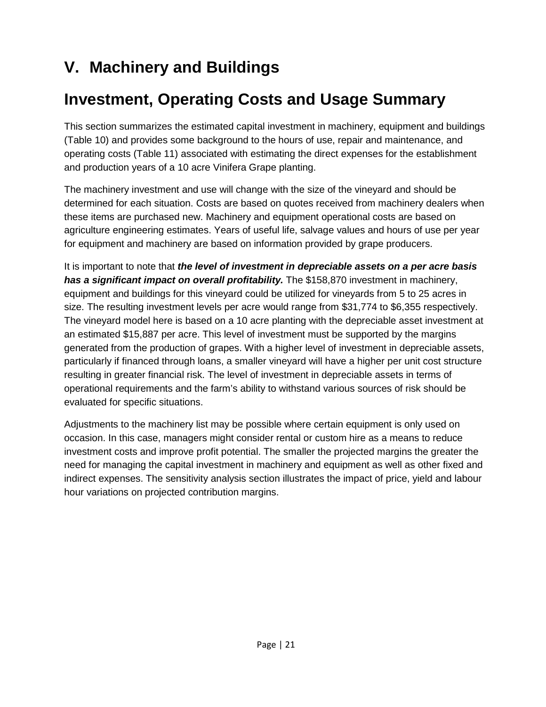### <span id="page-24-0"></span>**V. Machinery and Buildings**

### **Investment, Operating Costs and Usage Summary**

This section summarizes the estimated capital investment in machinery, equipment and buildings (Table 10) and provides some background to the hours of use, repair and maintenance, and operating costs (Table 11) associated with estimating the direct expenses for the establishment and production years of a 10 acre Vinifera Grape planting.

The machinery investment and use will change with the size of the vineyard and should be determined for each situation. Costs are based on quotes received from machinery dealers when these items are purchased new. Machinery and equipment operational costs are based on agriculture engineering estimates. Years of useful life, salvage values and hours of use per year for equipment and machinery are based on information provided by grape producers.

It is important to note that *the level of investment in depreciable assets on a per acre basis has a significant impact on overall profitability.* The \$158,870 investment in machinery, equipment and buildings for this vineyard could be utilized for vineyards from 5 to 25 acres in size. The resulting investment levels per acre would range from \$31,774 to \$6,355 respectively. The vineyard model here is based on a 10 acre planting with the depreciable asset investment at an estimated \$15,887 per acre. This level of investment must be supported by the margins generated from the production of grapes. With a higher level of investment in depreciable assets, particularly if financed through loans, a smaller vineyard will have a higher per unit cost structure resulting in greater financial risk. The level of investment in depreciable assets in terms of operational requirements and the farm's ability to withstand various sources of risk should be evaluated for specific situations.

Adjustments to the machinery list may be possible where certain equipment is only used on occasion. In this case, managers might consider rental or custom hire as a means to reduce investment costs and improve profit potential. The smaller the projected margins the greater the need for managing the capital investment in machinery and equipment as well as other fixed and indirect expenses. The sensitivity analysis section illustrates the impact of price, yield and labour hour variations on projected contribution margins.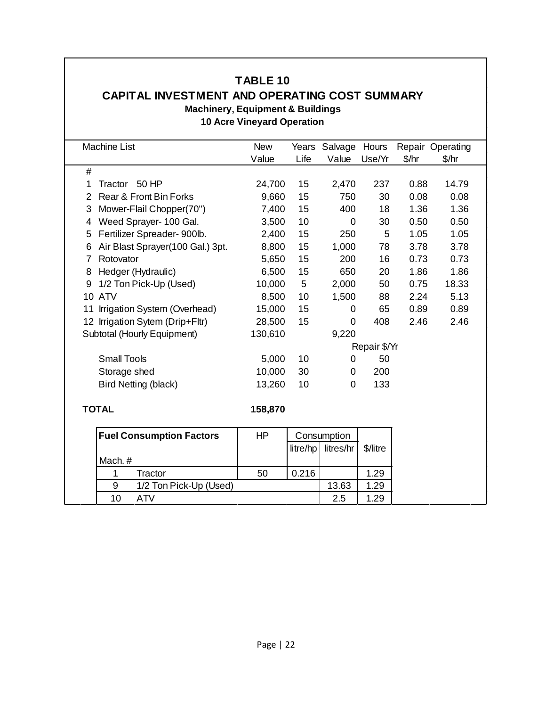#### **TABLE 10**

#### **CAPITAL INVESTMENT AND OPERATING COST SUMMARY**

**Machinery, Equipment & Buildings**

#### **10 Acre Vineyard Operation**

| <b>Machine List</b>                   | <b>New</b> | Years    | Salvage     | Hours        |       | Repair Operating |  |
|---------------------------------------|------------|----------|-------------|--------------|-------|------------------|--|
|                                       | Value      | Life     | Value       | Use/Yr       | \$/hr | \$/hr            |  |
| $\#$                                  |            |          |             |              |       |                  |  |
| Tractor 50 HP<br>1                    | 24,700     | 15       | 2,470       | 237          | 0.88  | 14.79            |  |
| Rear & Front Bin Forks<br>2           | 9,660      | 15       | 750         | 30           | 0.08  | 0.08             |  |
| Mower-Flail Chopper(70")<br>3         | 7,400      | 15       | 400         | 18           | 1.36  | 1.36             |  |
| Weed Sprayer- 100 Gal.<br>4           | 3,500      | 10       | 0           | 30           | 0.50  | 0.50             |  |
| Fertilizer Spreader- 900lb.<br>5      | 2,400      | 15       | 250         | 5            | 1.05  | 1.05             |  |
| Air Blast Sprayer(100 Gal.) 3pt.<br>6 | 8,800      | 15       | 1,000       | 78           | 3.78  | 3.78             |  |
| Rotovator<br>7                        | 5,650      | 15       | 200         | 16           | 0.73  | 0.73             |  |
| Hedger (Hydraulic)<br>8               | 6,500      | 15       | 650         | 20           | 1.86  | 1.86             |  |
| 1/2 Ton Pick-Up (Used)<br>9           | 10,000     | 5        | 2,000       | 50           | 0.75  | 18.33            |  |
| <b>10 ATV</b>                         | 8,500      | 10       | 1,500       | 88           | 2.24  | 5.13             |  |
| Irrigation System (Overhead)<br>11    | 15,000     | 15       | 0           | 65           | 0.89  | 0.89             |  |
| 12 Irrigation Sytem (Drip+Fltr)       | 28,500     | 15       | 0           | 408          | 2.46  | 2.46             |  |
| Subtotal (Hourly Equipment)           | 130,610    |          | 9,220       |              |       |                  |  |
|                                       |            |          |             | Repair \$/Yr |       |                  |  |
| <b>Small Tools</b>                    | 5,000      | 10       | 0           | 50           |       |                  |  |
| Storage shed                          | 10,000     | 30       | 0           | 200          |       |                  |  |
| <b>Bird Netting (black)</b>           | 13,260     | 10       | 0           | 133          |       |                  |  |
|                                       |            |          |             |              |       |                  |  |
| <b>TOTAL</b>                          | 158,870    |          |             |              |       |                  |  |
|                                       |            |          |             |              |       |                  |  |
| <b>Fuel Consumption Factors</b>       | HP         |          | Consumption |              |       |                  |  |
|                                       |            | litre/hp | litres/hr   | \$/litre     |       |                  |  |
| Mach. #                               |            |          |             |              |       |                  |  |

|         |                        |    |       | litre/hp   litres/hr   \$/litre |      |
|---------|------------------------|----|-------|---------------------------------|------|
| Mach. # |                        |    |       |                                 |      |
|         | Tractor                | 50 | 0.216 |                                 | 1.29 |
|         | 1/2 Ton Pick-Up (Used) |    |       | 13.63                           | 1.29 |
| 10      | ATV                    |    |       | 2.5                             | .29  |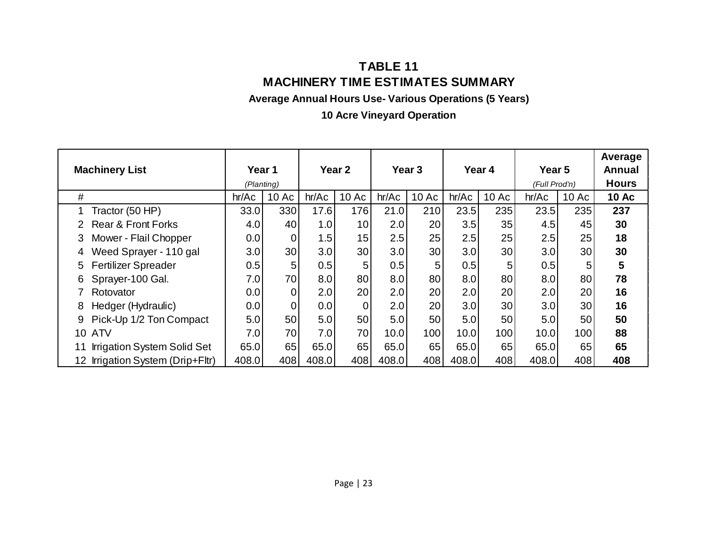#### **TABLE 11 MACHINERY TIME ESTIMATES SUMMARY**

**Average Annual Hours Use- Various Operations (5 Years)**

**10 Acre Vineyard Operation**

| <b>Machinery List</b> |                                    | Year 1     |                | Year 2 |                | Year <sub>3</sub> |       | Year 4 |       | Year 5<br>(Full Prod'n) |       | Average<br>Annual |
|-----------------------|------------------------------------|------------|----------------|--------|----------------|-------------------|-------|--------|-------|-------------------------|-------|-------------------|
|                       |                                    | (Planting) |                |        |                |                   |       |        |       |                         |       | <b>Hours</b>      |
| $\#$                  |                                    | hr/Ac      | 10 Ac          | hr/Ac  | 10 Ac          | hr/Ac             | 10 Ac | hr/Ac  | 10 Ac | hr/Ac                   | 10 Ac | <b>10 Ac</b>      |
| 1                     | Tractor (50 HP)                    | 33.0       | 330            | 17.6   | 176            | 21.0              | 210   | 23.5   | 235   | 23.5                    | 235   | 237               |
|                       | <b>Rear &amp; Front Forks</b>      | 4.0        | 40             | 1.0    | 10             | 2.0               | 20    | 3.5    | 35    | 4.5                     | 45    | 30                |
| 3                     | Mower - Flail Chopper              | 0.0        | $\overline{0}$ | 1.5    | 15             | 2.5               | 25    | 2.5    | 25    | 2.5                     | 25    | 18                |
| 4                     | Weed Sprayer - 110 gal             | 3.0        | 30             | 3.0    | 30             | 3.0               | 30    | 3.0    | 30    | 3.0                     | 30    | 30                |
| 5                     | <b>Fertilizer Spreader</b>         | 0.5        | 5              | 0.5    | 5              | 0.5               | 5     | 0.5    | 5     | 0.5                     | 5     | 5                 |
| 6                     | Sprayer-100 Gal.                   | 7.0        | 70             | 8.0    | 80             | 8.0               | 80    | 8.0    | 80    | 8.0                     | 80    | 78                |
|                       | Rotovator                          | 0.0        | 0              | 2.0    | 20             | 2.0               | 20    | 2.0    | 20    | 2.0                     | 20    | 16                |
| 8                     | Hedger (Hydraulic)                 | 0.0        | $\overline{0}$ | 0.0    | $\overline{0}$ | 2.0               | 20    | 3.0    | 30    | 3.0                     | 30    | 16                |
| 9                     | Pick-Up 1/2 Ton Compact            | 5.0        | 50             | 5.0    | 50             | 5.0               | 50    | 5.0    | 50    | 5.0                     | 50    | 50                |
|                       | <b>10 ATV</b>                      | 7.0        | 70             | 7.0    | 70             | 10.0              | 100   | 10.0   | 100   | 10.0                    | 100   | 88                |
| 11                    | <b>Irrigation System Solid Set</b> | 65.0       | 65             | 65.0   | 65             | 65.0              | 65    | 65.0   | 65    | 65.0                    | 65    | 65                |
|                       | 12 Irrigation System (Drip+Fltr)   | 408.0      | 408            | 408.0  | 408            | 408.0             | 408   | 408.0  | 408   | 408.0                   | 408   | 408               |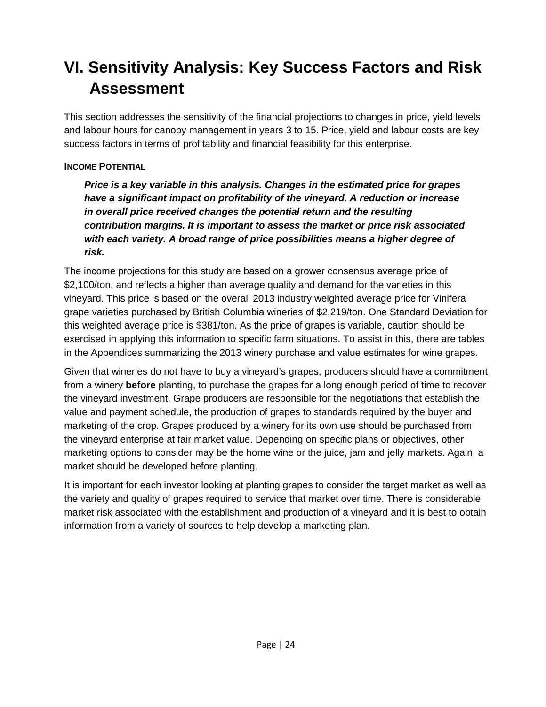### <span id="page-27-0"></span>**VI. Sensitivity Analysis: Key Success Factors and Risk Assessment**

This section addresses the sensitivity of the financial projections to changes in price, yield levels and labour hours for canopy management in years 3 to 15. Price, yield and labour costs are key success factors in terms of profitability and financial feasibility for this enterprise.

#### **INCOME POTENTIAL**

*Price is a key variable in this analysis. Changes in the estimated price for grapes have a significant impact on profitability of the vineyard. A reduction or increase in overall price received changes the potential return and the resulting contribution margins. It is important to assess the market or price risk associated with each variety. A broad range of price possibilities means a higher degree of risk.*

The income projections for this study are based on a grower consensus average price of \$2,100/ton, and reflects a higher than average quality and demand for the varieties in this vineyard. This price is based on the overall 2013 industry weighted average price for Vinifera grape varieties purchased by British Columbia wineries of \$2,219/ton. One Standard Deviation for this weighted average price is \$381/ton. As the price of grapes is variable, caution should be exercised in applying this information to specific farm situations. To assist in this, there are tables in the Appendices summarizing the 2013 winery purchase and value estimates for wine grapes.

Given that wineries do not have to buy a vineyard's grapes, producers should have a commitment from a winery **before** planting, to purchase the grapes for a long enough period of time to recover the vineyard investment. Grape producers are responsible for the negotiations that establish the value and payment schedule, the production of grapes to standards required by the buyer and marketing of the crop. Grapes produced by a winery for its own use should be purchased from the vineyard enterprise at fair market value. Depending on specific plans or objectives, other marketing options to consider may be the home wine or the juice, jam and jelly markets. Again, a market should be developed before planting.

It is important for each investor looking at planting grapes to consider the target market as well as the variety and quality of grapes required to service that market over time. There is considerable market risk associated with the establishment and production of a vineyard and it is best to obtain information from a variety of sources to help develop a marketing plan.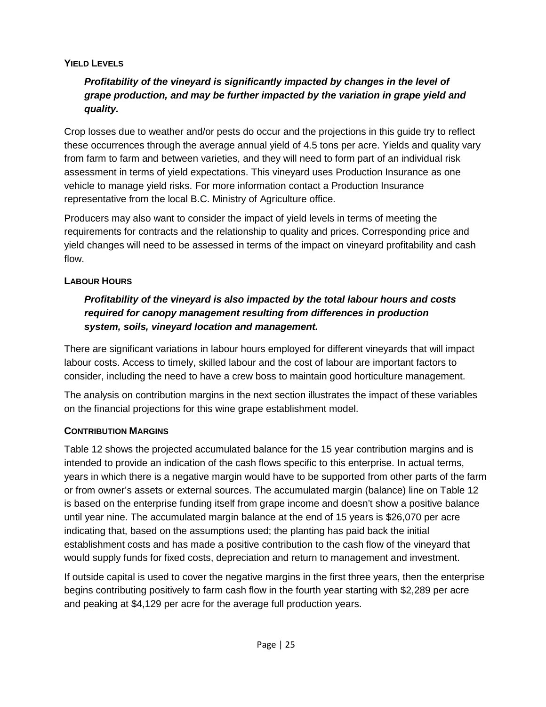#### **YIELD LEVELS**

#### *Profitability of the vineyard is significantly impacted by changes in the level of grape production, and may be further impacted by the variation in grape yield and quality.*

Crop losses due to weather and/or pests do occur and the projections in this guide try to reflect these occurrences through the average annual yield of 4.5 tons per acre. Yields and quality vary from farm to farm and between varieties, and they will need to form part of an individual risk assessment in terms of yield expectations. This vineyard uses Production Insurance as one vehicle to manage yield risks. For more information contact a Production Insurance representative from the local B.C. Ministry of Agriculture office.

Producers may also want to consider the impact of yield levels in terms of meeting the requirements for contracts and the relationship to quality and prices. Corresponding price and yield changes will need to be assessed in terms of the impact on vineyard profitability and cash flow.

#### **LABOUR HOURS**

#### *Profitability of the vineyard is also impacted by the total labour hours and costs required for canopy management resulting from differences in production system, soils, vineyard location and management.*

There are significant variations in labour hours employed for different vineyards that will impact labour costs. Access to timely, skilled labour and the cost of labour are important factors to consider, including the need to have a crew boss to maintain good horticulture management.

The analysis on contribution margins in the next section illustrates the impact of these variables on the financial projections for this wine grape establishment model.

#### **CONTRIBUTION MARGINS**

Table 12 shows the projected accumulated balance for the 15 year contribution margins and is intended to provide an indication of the cash flows specific to this enterprise. In actual terms, years in which there is a negative margin would have to be supported from other parts of the farm or from owner's assets or external sources. The accumulated margin (balance) line on Table 12 is based on the enterprise funding itself from grape income and doesn't show a positive balance until year nine. The accumulated margin balance at the end of 15 years is \$26,070 per acre indicating that, based on the assumptions used; the planting has paid back the initial establishment costs and has made a positive contribution to the cash flow of the vineyard that would supply funds for fixed costs, depreciation and return to management and investment.

If outside capital is used to cover the negative margins in the first three years, then the enterprise begins contributing positively to farm cash flow in the fourth year starting with \$2,289 per acre and peaking at \$4,129 per acre for the average full production years.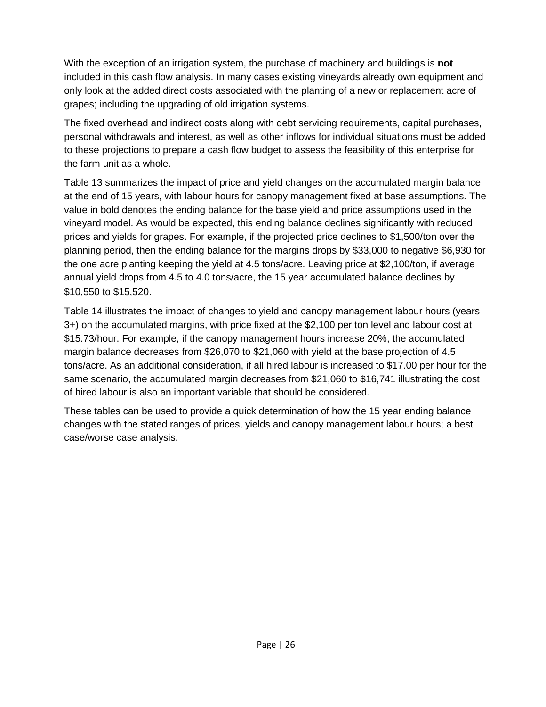With the exception of an irrigation system, the purchase of machinery and buildings is **not** included in this cash flow analysis. In many cases existing vineyards already own equipment and only look at the added direct costs associated with the planting of a new or replacement acre of grapes; including the upgrading of old irrigation systems.

The fixed overhead and indirect costs along with debt servicing requirements, capital purchases, personal withdrawals and interest, as well as other inflows for individual situations must be added to these projections to prepare a cash flow budget to assess the feasibility of this enterprise for the farm unit as a whole.

Table 13 summarizes the impact of price and yield changes on the accumulated margin balance at the end of 15 years, with labour hours for canopy management fixed at base assumptions. The value in bold denotes the ending balance for the base yield and price assumptions used in the vineyard model. As would be expected, this ending balance declines significantly with reduced prices and yields for grapes. For example, if the projected price declines to \$1,500/ton over the planning period, then the ending balance for the margins drops by \$33,000 to negative \$6,930 for the one acre planting keeping the yield at 4.5 tons/acre. Leaving price at \$2,100/ton, if average annual yield drops from 4.5 to 4.0 tons/acre, the 15 year accumulated balance declines by \$10,550 to \$15,520.

Table 14 illustrates the impact of changes to yield and canopy management labour hours (years 3+) on the accumulated margins, with price fixed at the \$2,100 per ton level and labour cost at \$15.73/hour. For example, if the canopy management hours increase 20%, the accumulated margin balance decreases from \$26,070 to \$21,060 with yield at the base projection of 4.5 tons/acre. As an additional consideration, if all hired labour is increased to \$17.00 per hour for the same scenario, the accumulated margin decreases from \$21,060 to \$16,741 illustrating the cost of hired labour is also an important variable that should be considered.

These tables can be used to provide a quick determination of how the 15 year ending balance changes with the stated ranges of prices, yields and canopy management labour hours; a best case/worse case analysis.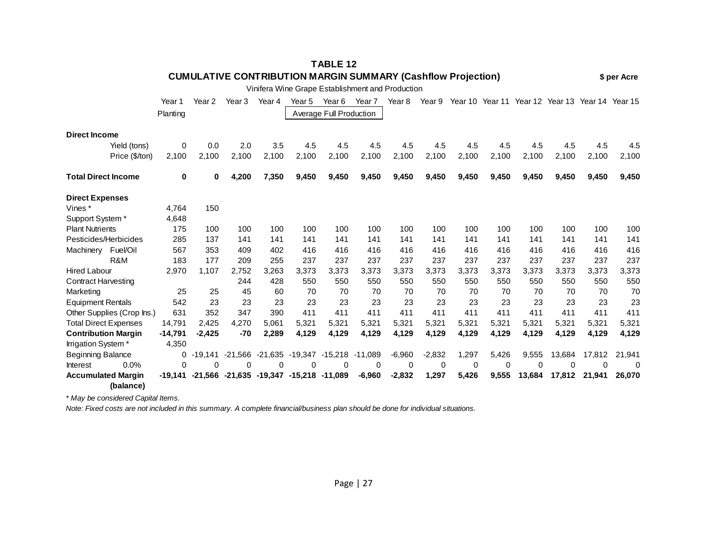| <b>TABLE 12</b>                        |           |                   |                   |        |                               |                         |                                                                     |          |          |                                                        |       |        |        |        |              |
|----------------------------------------|-----------|-------------------|-------------------|--------|-------------------------------|-------------------------|---------------------------------------------------------------------|----------|----------|--------------------------------------------------------|-------|--------|--------|--------|--------------|
|                                        |           |                   |                   |        |                               |                         | <b>CUMULATIVE CONTRIBUTION MARGIN SUMMARY (Cashflow Projection)</b> |          |          |                                                        |       |        |        |        | \$ per Acre  |
|                                        |           |                   |                   |        |                               |                         | Vinifera Wine Grape Establishment and Production                    |          |          |                                                        |       |        |        |        |              |
|                                        | Year 1    | Year <sub>2</sub> | Year <sub>3</sub> | Year 4 | Year 5                        | Year 6                  | Year 7                                                              | Year 8   |          | Year 9 Year 10 Year 11 Year 12 Year 13 Year 14 Year 15 |       |        |        |        |              |
|                                        | Planting  |                   |                   |        |                               | Average Full Production |                                                                     |          |          |                                                        |       |        |        |        |              |
|                                        |           |                   |                   |        |                               |                         |                                                                     |          |          |                                                        |       |        |        |        |              |
| <b>Direct Income</b>                   |           |                   |                   |        |                               |                         |                                                                     |          |          |                                                        |       |        |        |        |              |
| Yield (tons)                           | 0         | 0.0               | 2.0               | 3.5    | 4.5                           | 4.5                     | 4.5                                                                 | 4.5      | 4.5      | 4.5                                                    | 4.5   | 4.5    | 4.5    | 4.5    | 4.5          |
| Price (\$/ton)                         | 2,100     | 2,100             | 2,100             | 2,100  | 2,100                         | 2,100                   | 2,100                                                               | 2,100    | 2,100    | 2,100                                                  | 2,100 | 2,100  | 2,100  | 2,100  | 2,100        |
| <b>Total Direct Income</b>             | 0         | 0                 | 4,200             | 7,350  | 9,450                         | 9,450                   | 9,450                                                               | 9,450    | 9,450    | 9,450                                                  | 9,450 | 9,450  | 9,450  | 9,450  | 9,450        |
| <b>Direct Expenses</b>                 |           |                   |                   |        |                               |                         |                                                                     |          |          |                                                        |       |        |        |        |              |
| Vines *                                | 4.764     | 150               |                   |        |                               |                         |                                                                     |          |          |                                                        |       |        |        |        |              |
| Support System*                        | 4,648     |                   |                   |        |                               |                         |                                                                     |          |          |                                                        |       |        |        |        |              |
| <b>Plant Nutrients</b>                 | 175       | 100               | 100               | 100    | 100                           | 100                     | 100                                                                 | 100      | 100      | 100                                                    | 100   | 100    | 100    | 100    | 100          |
| Pesticides/Herbicides                  | 285       | 137               | 141               | 141    | 141                           | 141                     | 141                                                                 | 141      | 141      | 141                                                    | 141   | 141    | 141    | 141    | 141          |
| Machinery Fuel/Oil                     | 567       | 353               | 409               | 402    | 416                           | 416                     | 416                                                                 | 416      | 416      | 416                                                    | 416   | 416    | 416    | 416    | 416          |
| R&M                                    | 183       | 177               | 209               | 255    | 237                           | 237                     | 237                                                                 | 237      | 237      | 237                                                    | 237   | 237    | 237    | 237    | 237          |
| Hired Labour                           | 2,970     | 1,107             | 2,752             | 3.263  | 3.373                         | 3,373                   | 3,373                                                               | 3,373    | 3,373    | 3,373                                                  | 3,373 | 3,373  | 3,373  | 3,373  | 3,373        |
| <b>Contract Harvesting</b>             |           |                   | 244               | 428    | 550                           | 550                     | 550                                                                 | 550      | 550      | 550                                                    | 550   | 550    | 550    | 550    | 550          |
| Marketing                              | 25        | 25                | 45                | 60     | 70                            | 70                      | 70                                                                  | 70       | 70       | 70                                                     | 70    | 70     | 70     | 70     | 70           |
| <b>Equipment Rentals</b>               | 542       | 23                | 23                | 23     | 23                            | 23                      | 23                                                                  | 23       | 23       | 23                                                     | 23    | 23     | 23     | 23     | 23           |
| Other Supplies (Crop Ins.)             | 631       | 352               | 347               | 390    | 411                           | 411                     | 411                                                                 | 411      | 411      | 411                                                    | 411   | 411    | 411    | 411    | 411          |
| <b>Total Direct Expenses</b>           | 14,791    | 2.425             | 4,270             | 5.061  | 5.321                         | 5,321                   | 5,321                                                               | 5,321    | 5,321    | 5,321                                                  | 5,321 | 5,321  | 5,321  | 5,321  | 5,321        |
| <b>Contribution Margin</b>             | $-14,791$ | $-2,425$          | $-70$             | 2,289  | 4,129                         | 4,129                   | 4,129                                                               | 4,129    | 4,129    | 4,129                                                  | 4,129 | 4,129  | 4,129  | 4,129  | 4,129        |
| Irrigation System*                     | 4,350     |                   |                   |        |                               |                         |                                                                     |          |          |                                                        |       |        |        |        |              |
| Beginning Balance                      | 0         | $-19,141$         | $-21,566$         |        | $-21,635$ $-19,347$ $-15,218$ |                         | $-11,089$                                                           | $-6,960$ | $-2,832$ | 1,297                                                  | 5,426 | 9,555  | 13,684 | 17,812 | 21,941       |
| 0.0%<br>Interest                       | $\Omega$  | 0                 | 0                 | 0      | 0                             | 0                       | 0                                                                   | 0        | 0        | 0                                                      | 0     | 0      | 0      | 0      | $\mathbf{0}$ |
| <b>Accumulated Margin</b><br>(balance) | -19,141   |                   | -21,566 -21,635   |        | -19,347 -15,218 -11,089       |                         | $-6,960$                                                            | $-2,832$ | 1,297    | 5,426                                                  | 9,555 | 13,684 | 17,812 | 21,941 | 26,070       |

*\* May be considered Capital Items.*

*Note: Fixed costs are not included in this summary. A complete financial/business plan should be done for individual situations.*

 $\sim 100$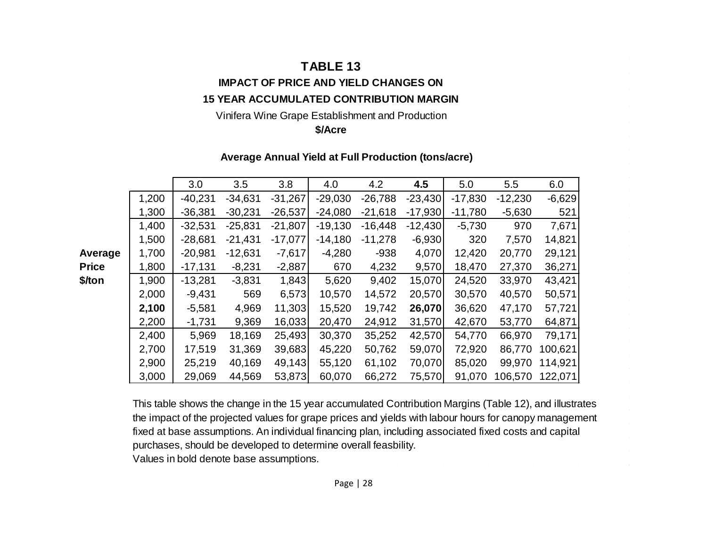#### **TABLE 13**

#### **IMPACT OF PRICE AND YIELD CHANGES ON 15 YEAR ACCUMULATED CONTRIBUTION MARGIN**

#### Vinifera Wine Grape Establishment and Production

#### **\$/Acre**

#### **Average Annual Yield at Full Production (tons/acre)**

|              |       | 3.0       | 3.5       | 3.8       | 4.0       | 4.2       | 4.5       | 5.0       | 5.5       | 6.0      |
|--------------|-------|-----------|-----------|-----------|-----------|-----------|-----------|-----------|-----------|----------|
|              | 1,200 | $-40,231$ | $-34,631$ | $-31,267$ | $-29,030$ | $-26,788$ | $-23,430$ | $-17,830$ | $-12,230$ | $-6,629$ |
|              | 1,300 | $-36,381$ | $-30,231$ | $-26,537$ | $-24,080$ | $-21,618$ | $-17,930$ | $-11,780$ | $-5,630$  | 521      |
|              | 1,400 | $-32,531$ | $-25,831$ | $-21,807$ | $-19,130$ | $-16,448$ | $-12,430$ | $-5,730$  | 970       | 7,671    |
|              | 1,500 | $-28,681$ | $-21,431$ | $-17,077$ | $-14,180$ | $-11,278$ | $-6,930$  | 320       | 7,570     | 14,821   |
| Average      | 1,700 | $-20,981$ | $-12,631$ | $-7,617$  | $-4,280$  | $-938$    | 4,070     | 12,420    | 20,770    | 29,121   |
| <b>Price</b> | 1,800 | $-17,131$ | $-8,231$  | $-2,887$  | 670       | 4,232     | 9,570     | 18,470    | 27,370    | 36,271   |
| \$/ton       | 1,900 | $-13,281$ | $-3,831$  | 1,843     | 5,620     | 9,402     | 15,070    | 24,520    | 33,970    | 43,421   |
|              | 2,000 | $-9,431$  | 569       | 6,573     | 10,570    | 14,572    | 20,570    | 30,570    | 40,570    | 50,571   |
|              | 2,100 | $-5,581$  | 4,969     | 11,303    | 15,520    | 19,742    | 26,070    | 36,620    | 47,170    | 57,721   |
|              | 2,200 | $-1,731$  | 9,369     | 16,033    | 20,470    | 24,912    | 31,570    | 42,670    | 53,770    | 64,871   |
|              | 2,400 | 5,969     | 18,169    | 25,493    | 30,370    | 35,252    | 42,570    | 54,770    | 66,970    | 79,171   |
|              | 2,700 | 17,519    | 31,369    | 39,683    | 45,220    | 50,762    | 59,070    | 72,920    | 86,770    | 100,621  |
|              | 2,900 | 25,219    | 40,169    | 49,143    | 55,120    | 61,102    | 70,070    | 85,020    | 99,970    | 114,921  |
|              | 3,000 | 29,069    | 44,569    | 53,873    | 60,070    | 66,272    | 75,570    | 91,070    | 106,570   | 122,071  |

This table shows the change in the 15 year accumulated Contribution Margins (Table 12), and illustrates the impact of the projected values for grape prices and yields with labour hours for canopy management fixed at base assumptions. An individual financing plan, including associated fixed costs and capital purchases, should be developed to determine overall feasbility.

 $\sim$ 

Values in bold denote base assumptions.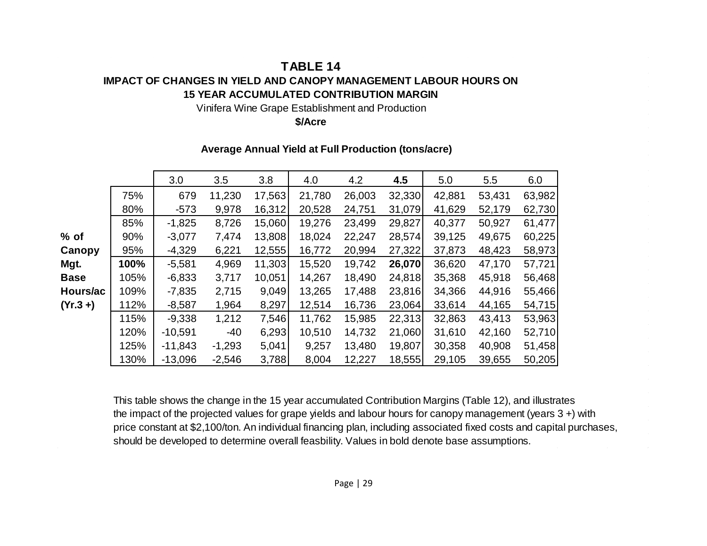#### **TABLE 14 IMPACT OF CHANGES IN YIELD AND CANOPY MANAGEMENT LABOUR HOURS ON 15 YEAR ACCUMULATED CONTRIBUTION MARGIN**

Vinifera Wine Grape Establishment and Production

**\$/Acre**

|             |      | 3.0       | 3.5      | 3.8    | 4.0    | 4.2    | 4.5    | 5.0    | 5.5    | 6.0    |
|-------------|------|-----------|----------|--------|--------|--------|--------|--------|--------|--------|
|             | 75%  | 679       | 11,230   | 17,563 | 21,780 | 26,003 | 32,330 | 42,881 | 53,431 | 63,982 |
|             | 80%  | $-573$    | 9,978    | 16,312 | 20,528 | 24,751 | 31,079 | 41,629 | 52,179 | 62,730 |
|             | 85%  | $-1,825$  | 8,726    | 15,060 | 19,276 | 23,499 | 29,827 | 40,377 | 50,927 | 61,477 |
| % of        | 90%  | $-3,077$  | 7,474    | 13,808 | 18,024 | 22,247 | 28,574 | 39,125 | 49,675 | 60,225 |
| Canopy      | 95%  | $-4,329$  | 6,221    | 12,555 | 16,772 | 20,994 | 27,322 | 37,873 | 48,423 | 58,973 |
| Mgt.        | 100% | $-5,581$  | 4,969    | 11,303 | 15,520 | 19,742 | 26,070 | 36,620 | 47,170 | 57,721 |
| <b>Base</b> | 105% | $-6,833$  | 3,717    | 10,051 | 14,267 | 18,490 | 24,818 | 35,368 | 45,918 | 56,468 |
| Hours/ac    | 109% | $-7,835$  | 2,715    | 9,049  | 13,265 | 17,488 | 23,816 | 34,366 | 44,916 | 55,466 |
| (Yr.3 +)    | 112% | $-8,587$  | 1,964    | 8,297  | 12,514 | 16,736 | 23,064 | 33,614 | 44,165 | 54,715 |
|             | 115% | $-9,338$  | 1,212    | 7,546  | 11,762 | 15,985 | 22,313 | 32,863 | 43,413 | 53,963 |
|             | 120% | $-10,591$ | $-40$    | 6,293  | 10,510 | 14,732 | 21,060 | 31,610 | 42,160 | 52,710 |
|             | 125% | $-11,843$ | $-1,293$ | 5,041  | 9,257  | 13,480 | 19,807 | 30,358 | 40,908 | 51,458 |
|             | 130% | $-13,096$ | $-2,546$ | 3,788  | 8,004  | 12,227 | 18,555 | 29,105 | 39,655 | 50,205 |

#### **Average Annual Yield at Full Production (tons/acre)**

This table shows the change in the 15 year accumulated Contribution Margins (Table 12), and illustrates the impact of the projected values for grape yields and labour hours for canopy management (years 3 +) with price constant at \$2,100/ton. An individual financing plan, including associated fixed costs and capital purchases, should be developed to determine overall feasbility. Values in bold denote base assumptions.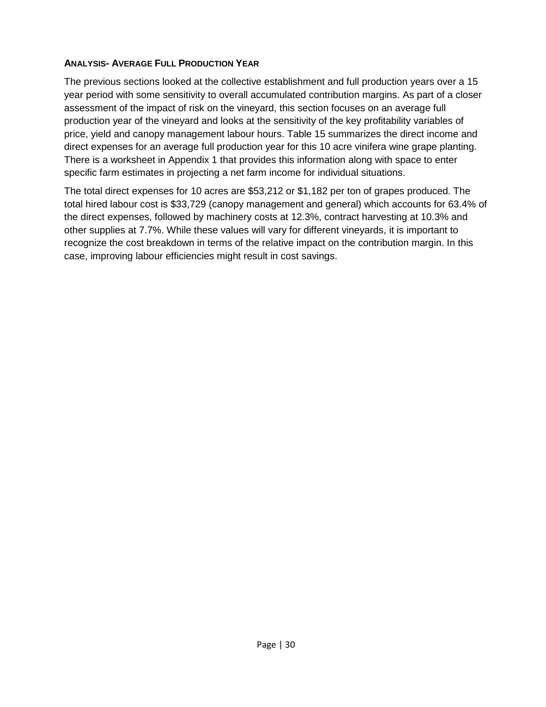#### **ANALYSIS- AVERAGE FULL PRODUCTION YEAR**

The previous sections looked at the collective establishment and full production years over a 15 year period with some sensitivity to overall accumulated contribution margins. As part of a closer assessment of the impact of risk on the vineyard, this section focuses on an average full production year of the vineyard and looks at the sensitivity of the key profitability variables of price, yield and canopy management labour hours. Table 15 summarizes the direct income and direct expenses for an average full production year for this 10 acre vinifera wine grape planting. There is a worksheet in Appendix 1 that provides this information along with space to enter specific farm estimates in projecting a net farm income for individual situations.

The total direct expenses for 10 acres are \$53,212 or \$1,182 per ton of grapes produced. The total hired labour cost is \$33,729 (canopy management and general) which accounts for 63.4% of the direct expenses, followed by machinery costs at 12.3%, contract harvesting at 10.3% and other supplies at 7.7%. While these values will vary for different vineyards, it is important to recognize the cost breakdown in terms of the relative impact on the contribution margin. In this case, improving labour efficiencies might result in cost savings.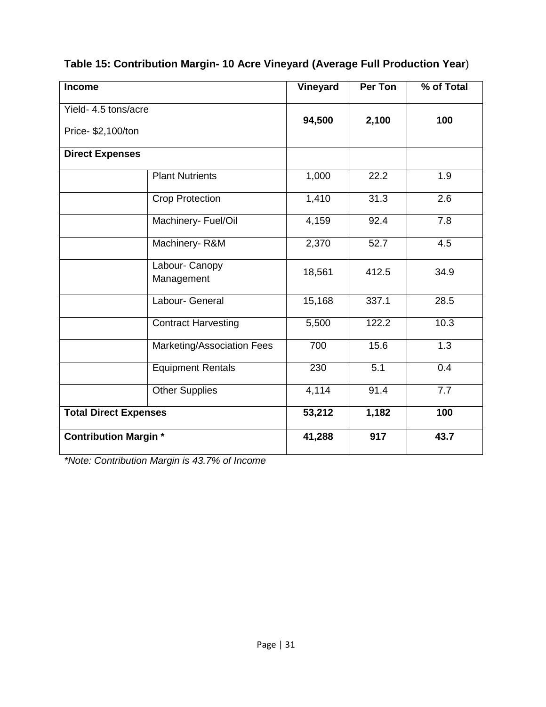|  |  | Table 15: Contribution Margin- 10 Acre Vineyard (Average Full Production Year) |  |  |
|--|--|--------------------------------------------------------------------------------|--|--|
|  |  |                                                                                |  |  |

| Income                                     |                              | Vineyard | <b>Per Ton</b> | % of Total       |
|--------------------------------------------|------------------------------|----------|----------------|------------------|
| Yield- 4.5 tons/acre<br>Price- \$2,100/ton |                              | 94,500   | 2,100          | 100              |
| <b>Direct Expenses</b>                     |                              |          |                |                  |
|                                            | <b>Plant Nutrients</b>       | 1,000    | 22.2           | 1.9              |
|                                            | <b>Crop Protection</b>       | 1,410    | 31.3           | 2.6              |
|                                            | Machinery- Fuel/Oil          | 4,159    | 92.4           | 7.8              |
|                                            | Machinery-R&M                | 2,370    | 52.7           | 4.5              |
|                                            | Labour- Canopy<br>Management | 18,561   | 412.5          | 34.9             |
|                                            | Labour- General              | 15,168   | 337.1          | 28.5             |
|                                            | <b>Contract Harvesting</b>   | 5,500    | 122.2          | 10.3             |
|                                            | Marketing/Association Fees   | 700      | 15.6           | $\overline{1.3}$ |
|                                            | Equipment Rentals            | 230      | 5.1            | 0.4              |
|                                            | <b>Other Supplies</b>        | 4,114    | 91.4           | 7.7              |
| <b>Total Direct Expenses</b>               |                              | 53,212   | 1,182          | 100              |
| <b>Contribution Margin*</b>                |                              | 41,288   | 917            | 43.7             |

*\*Note: Contribution Margin is 43.7% of Income*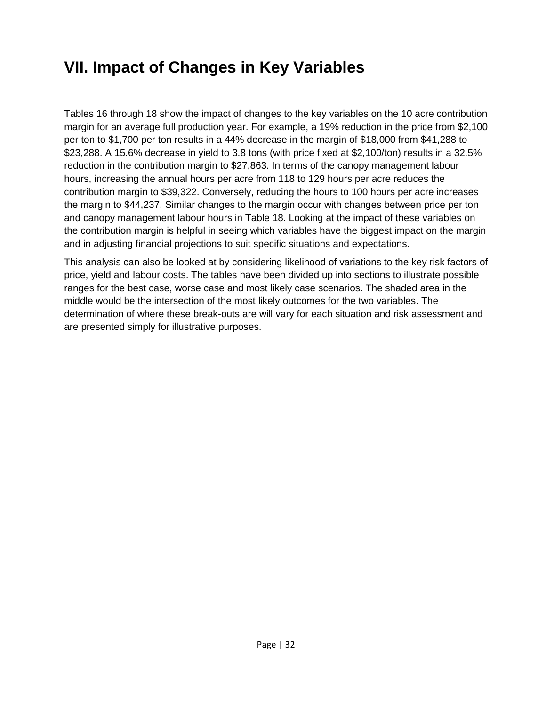### <span id="page-35-0"></span>**VII. Impact of Changes in Key Variables**

Tables 16 through 18 show the impact of changes to the key variables on the 10 acre contribution margin for an average full production year. For example, a 19% reduction in the price from \$2,100 per ton to \$1,700 per ton results in a 44% decrease in the margin of \$18,000 from \$41,288 to \$23,288. A 15.6% decrease in yield to 3.8 tons (with price fixed at \$2,100/ton) results in a 32.5% reduction in the contribution margin to \$27,863. In terms of the canopy management labour hours, increasing the annual hours per acre from 118 to 129 hours per acre reduces the contribution margin to \$39,322. Conversely, reducing the hours to 100 hours per acre increases the margin to \$44,237. Similar changes to the margin occur with changes between price per ton and canopy management labour hours in Table 18. Looking at the impact of these variables on the contribution margin is helpful in seeing which variables have the biggest impact on the margin and in adjusting financial projections to suit specific situations and expectations.

This analysis can also be looked at by considering likelihood of variations to the key risk factors of price, yield and labour costs. The tables have been divided up into sections to illustrate possible ranges for the best case, worse case and most likely case scenarios. The shaded area in the middle would be the intersection of the most likely outcomes for the two variables. The determination of where these break-outs are will vary for each situation and risk assessment and are presented simply for illustrative purposes.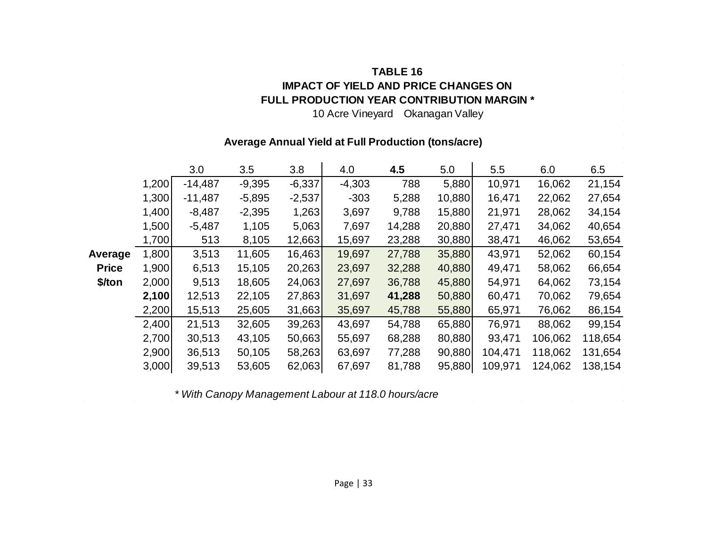#### **TABLE 16 IMPACT OF YIELD AND PRICE CHANGES ON FULL PRODUCTION YEAR CONTRIBUTION MARGIN \***

10 Acre Vineyard Okanagan Valley

#### **Average Annual Yield at Full Production (tons/acre)**

|              |       | 3.0       | 3.5      | 3.8      | 4.0      | 4.5    | 5.0    | 5.5     | 6.0     | 6.5     |
|--------------|-------|-----------|----------|----------|----------|--------|--------|---------|---------|---------|
|              | 1,200 | $-14,487$ | $-9,395$ | $-6,337$ | $-4,303$ | 788    | 5,880  | 10,971  | 16,062  | 21,154  |
|              | 1,300 | $-11,487$ | $-5,895$ | $-2,537$ | $-303$   | 5,288  | 10,880 | 16,471  | 22,062  | 27,654  |
|              | 1,400 | $-8,487$  | $-2,395$ | 1,263    | 3,697    | 9,788  | 15,880 | 21,971  | 28,062  | 34,154  |
|              | 1,500 | $-5,487$  | 1,105    | 5,063    | 7,697    | 14,288 | 20,880 | 27,471  | 34,062  | 40,654  |
|              | 1,700 | 513       | 8,105    | 12,663   | 15,697   | 23,288 | 30,880 | 38,471  | 46,062  | 53,654  |
| Average      | 1,800 | 3,513     | 11,605   | 16,463   | 19,697   | 27,788 | 35,880 | 43,971  | 52,062  | 60,154  |
| <b>Price</b> | 1,900 | 6,513     | 15,105   | 20,263   | 23,697   | 32,288 | 40,880 | 49,471  | 58,062  | 66,654  |
| \$/ton       | 2,000 | 9,513     | 18,605   | 24,063   | 27,697   | 36,788 | 45,880 | 54,971  | 64,062  | 73,154  |
|              | 2,100 | 12,513    | 22,105   | 27,863   | 31,697   | 41,288 | 50,880 | 60,471  | 70,062  | 79,654  |
|              | 2,200 | 15,513    | 25,605   | 31,663   | 35,697   | 45,788 | 55,880 | 65,971  | 76,062  | 86,154  |
|              | 2,400 | 21,513    | 32,605   | 39,263   | 43,697   | 54,788 | 65,880 | 76,971  | 88,062  | 99,154  |
|              | 2,700 | 30,513    | 43,105   | 50,663   | 55,697   | 68,288 | 80,880 | 93,471  | 106,062 | 118,654 |
|              | 2,900 | 36,513    | 50,105   | 58,263   | 63,697   | 77,288 | 90,880 | 104,471 | 118,062 | 131,654 |
|              | 3,000 | 39,513    | 53,605   | 62,063   | 67,697   | 81,788 | 95,880 | 109,971 | 124,062 | 138,154 |

*\* With Canopy Management Labour at 118.0 hours/acre*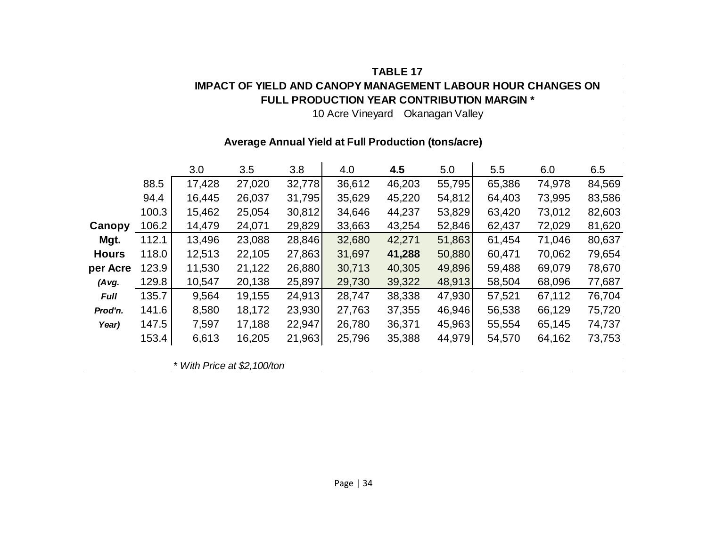#### **TABLE 17 IMPACT OF YIELD AND CANOPY MANAGEMENT LABOUR HOUR CHANGES ON FULL PRODUCTION YEAR CONTRIBUTION MARGIN \***

10 Acre Vineyard Okanagan Valley

#### **Average Annual Yield at Full Production (tons/acre)**

|              |       | 3.0    | 3.5    | 3.8    | 4.0    | 4.5    | 5.0    | 5.5    | 6.0    | 6.5    |
|--------------|-------|--------|--------|--------|--------|--------|--------|--------|--------|--------|
|              | 88.5  | 17,428 | 27,020 | 32,778 | 36,612 | 46,203 | 55,795 | 65,386 | 74,978 | 84,569 |
|              | 94.4  | 16,445 | 26,037 | 31,795 | 35,629 | 45,220 | 54,812 | 64,403 | 73,995 | 83,586 |
|              | 100.3 | 15,462 | 25,054 | 30,812 | 34,646 | 44,237 | 53,829 | 63,420 | 73,012 | 82,603 |
| Canopy       | 106.2 | 14,479 | 24,071 | 29,829 | 33,663 | 43,254 | 52,846 | 62,437 | 72,029 | 81,620 |
| Mgt.         | 112.1 | 13,496 | 23,088 | 28,846 | 32,680 | 42,271 | 51,863 | 61,454 | 71,046 | 80,637 |
| <b>Hours</b> | 118.0 | 12,513 | 22,105 | 27,863 | 31,697 | 41,288 | 50,880 | 60,471 | 70,062 | 79,654 |
| per Acre     | 123.9 | 11,530 | 21,122 | 26,880 | 30,713 | 40,305 | 49,896 | 59,488 | 69,079 | 78,670 |
| $(A \vee g.$ | 129.8 | 10,547 | 20,138 | 25,897 | 29,730 | 39,322 | 48,913 | 58,504 | 68,096 | 77,687 |
| <b>Full</b>  | 135.7 | 9,564  | 19,155 | 24,913 | 28,747 | 38,338 | 47,930 | 57,521 | 67,112 | 76,704 |
| Prod'n.      | 141.6 | 8,580  | 18,172 | 23,930 | 27,763 | 37,355 | 46,946 | 56,538 | 66,129 | 75,720 |
| Year)        | 147.5 | 7,597  | 17,188 | 22,947 | 26,780 | 36,371 | 45,963 | 55,554 | 65,145 | 74,737 |
|              | 153.4 | 6,613  | 16,205 | 21,963 | 25,796 | 35,388 | 44,979 | 54,570 | 64,162 | 73,753 |

*\* With Price at \$2,100/ton*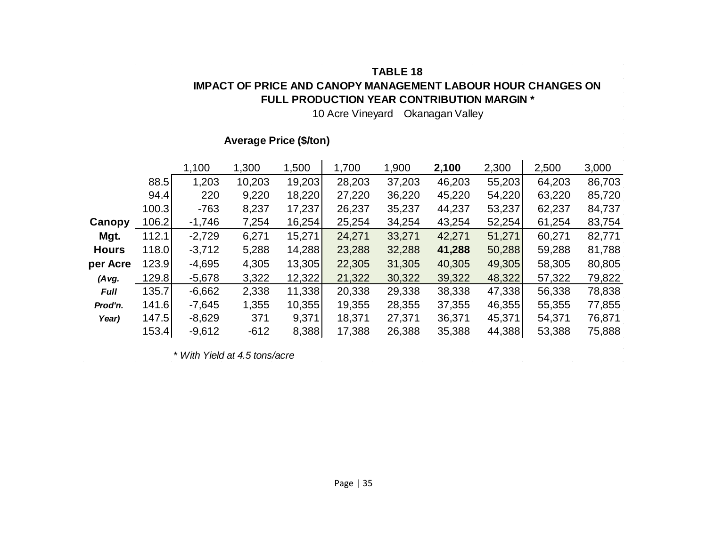#### **TABLE 18 IMPACT OF PRICE AND CANOPY MANAGEMENT LABOUR HOUR CHANGES ON FULL PRODUCTION YEAR CONTRIBUTION MARGIN \***

10 Acre Vineyard Okanagan Valley

 $\sim 10^{11}$ 

 $\sim 100$ 

#### **Average Price (\$/ton)**

|              |       | 1,100    | 1,300  | 1,500  | 1,700  | 1,900  | 2,100  | 2,300  | 2,500  | 3,000  |
|--------------|-------|----------|--------|--------|--------|--------|--------|--------|--------|--------|
|              | 88.5  | 1,203    | 10,203 | 19,203 | 28,203 | 37,203 | 46,203 | 55,203 | 64,203 | 86,703 |
|              | 94.4  | 220      | 9,220  | 18,220 | 27,220 | 36,220 | 45,220 | 54,220 | 63,220 | 85,720 |
|              | 100.3 | $-763$   | 8,237  | 17,237 | 26,237 | 35,237 | 44,237 | 53,237 | 62,237 | 84,737 |
| Canopy       | 106.2 | $-1,746$ | 7,254  | 16,254 | 25,254 | 34,254 | 43,254 | 52,254 | 61,254 | 83,754 |
| Mgt.         | 112.1 | $-2,729$ | 6,271  | 15,271 | 24,271 | 33,271 | 42,271 | 51,271 | 60,271 | 82,771 |
| <b>Hours</b> | 118.0 | $-3,712$ | 5,288  | 14,288 | 23,288 | 32,288 | 41,288 | 50,288 | 59,288 | 81,788 |
| per Acre     | 123.9 | $-4,695$ | 4,305  | 13,305 | 22,305 | 31,305 | 40,305 | 49,305 | 58,305 | 80,805 |
| (Avg.        | 129.8 | $-5,678$ | 3,322  | 12,322 | 21,322 | 30,322 | 39,322 | 48,322 | 57,322 | 79,822 |
| <b>Full</b>  | 135.7 | $-6,662$ | 2,338  | 11,338 | 20,338 | 29,338 | 38,338 | 47,338 | 56,338 | 78,838 |
| Prod'n.      | 141.6 | $-7,645$ | 1,355  | 10,355 | 19,355 | 28,355 | 37,355 | 46,355 | 55,355 | 77,855 |
| Year)        | 147.5 | $-8,629$ | 371    | 9,371  | 18,371 | 27,371 | 36,371 | 45,371 | 54,371 | 76,871 |
|              | 153.4 | $-9,612$ | $-612$ | 8,388  | 17,388 | 26,388 | 35,388 | 44,388 | 53,388 | 75,888 |

 $\mathcal{L}_{\mathcal{L}}$ 

*\* With Yield at 4.5 tons/acre*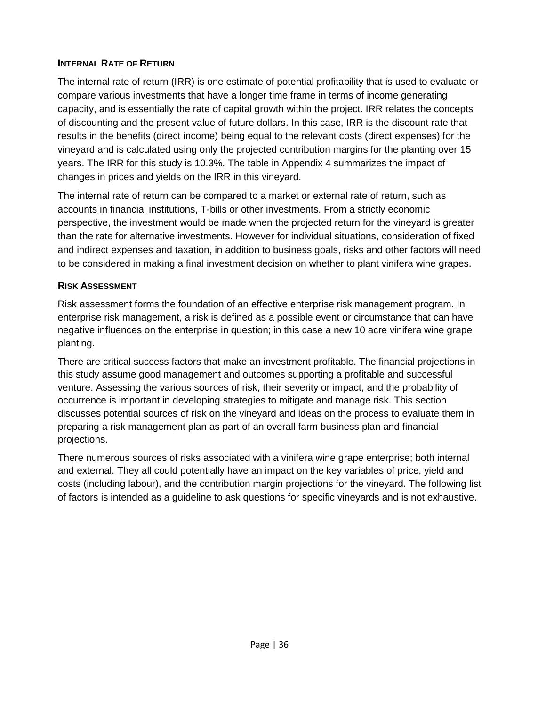#### **INTERNAL RATE OF RETURN**

The internal rate of return (IRR) is one estimate of potential profitability that is used to evaluate or compare various investments that have a longer time frame in terms of income generating capacity, and is essentially the rate of capital growth within the project. IRR relates the concepts of discounting and the present value of future dollars. In this case, IRR is the discount rate that results in the benefits (direct income) being equal to the relevant costs (direct expenses) for the vineyard and is calculated using only the projected contribution margins for the planting over 15 years. The IRR for this study is 10.3%. The table in Appendix 4 summarizes the impact of changes in prices and yields on the IRR in this vineyard.

The internal rate of return can be compared to a market or external rate of return, such as accounts in financial institutions, T-bills or other investments. From a strictly economic perspective, the investment would be made when the projected return for the vineyard is greater than the rate for alternative investments. However for individual situations, consideration of fixed and indirect expenses and taxation, in addition to business goals, risks and other factors will need to be considered in making a final investment decision on whether to plant vinifera wine grapes.

#### **RISK ASSESSMENT**

Risk assessment forms the foundation of an effective enterprise risk management program. In enterprise risk management, a risk is defined as a possible event or circumstance that can have negative influences on the enterprise in question; in this case a new 10 acre vinifera wine grape planting.

There are critical success factors that make an investment profitable. The financial projections in this study assume good management and outcomes supporting a profitable and successful venture. Assessing the various sources of risk, their severity or impact, and the probability of occurrence is important in developing strategies to mitigate and manage risk. This section discusses potential sources of risk on the vineyard and ideas on the process to evaluate them in preparing a risk management plan as part of an overall farm business plan and financial projections.

There numerous sources of risks associated with a vinifera wine grape enterprise; both internal and external. They all could potentially have an impact on the key variables of price, yield and costs (including labour), and the contribution margin projections for the vineyard. The following list of factors is intended as a guideline to ask questions for specific vineyards and is not exhaustive.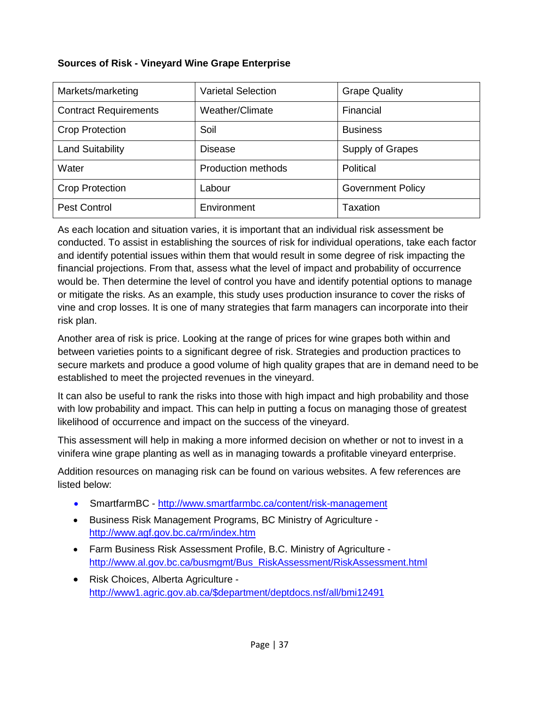#### **Sources of Risk - Vineyard Wine Grape Enterprise**

| Markets/marketing            | <b>Varietal Selection</b> | <b>Grape Quality</b>     |
|------------------------------|---------------------------|--------------------------|
| <b>Contract Requirements</b> | Weather/Climate           | Financial                |
| <b>Crop Protection</b>       | Soil                      | <b>Business</b>          |
| <b>Land Suitability</b>      | <b>Disease</b>            | Supply of Grapes         |
| Water                        | <b>Production methods</b> | Political                |
| <b>Crop Protection</b>       | Labour                    | <b>Government Policy</b> |
| <b>Pest Control</b>          | Environment               | Taxation                 |

As each location and situation varies, it is important that an individual risk assessment be conducted. To assist in establishing the sources of risk for individual operations, take each factor and identify potential issues within them that would result in some degree of risk impacting the financial projections. From that, assess what the level of impact and probability of occurrence would be. Then determine the level of control you have and identify potential options to manage or mitigate the risks. As an example, this study uses production insurance to cover the risks of vine and crop losses. It is one of many strategies that farm managers can incorporate into their risk plan.

Another area of risk is price. Looking at the range of prices for wine grapes both within and between varieties points to a significant degree of risk. Strategies and production practices to secure markets and produce a good volume of high quality grapes that are in demand need to be established to meet the projected revenues in the vineyard.

It can also be useful to rank the risks into those with high impact and high probability and those with low probability and impact. This can help in putting a focus on managing those of greatest likelihood of occurrence and impact on the success of the vineyard.

This assessment will help in making a more informed decision on whether or not to invest in a vinifera wine grape planting as well as in managing towards a profitable vineyard enterprise.

Addition resources on managing risk can be found on various websites. A few references are listed below:

- SmartfarmBC <http://www.smartfarmbc.ca/content/risk-management>
- Business Risk Management Programs, BC Ministry of Agriculture <http://www.agf.gov.bc.ca/rm/index.htm>
- Farm Business Risk Assessment Profile, B.C. Ministry of Agriculture [http://www.al.gov.bc.ca/busmgmt/Bus\\_RiskAssessment/RiskAssessment.html](http://www.al.gov.bc.ca/busmgmt/Bus_RiskAssessment/RiskAssessment.html)
- Risk Choices, Alberta Agriculture [http://www1.agric.gov.ab.ca/\\$department/deptdocs.nsf/all/bmi12491](http://www1.agric.gov.ab.ca/$department/deptdocs.nsf/all/bmi12491)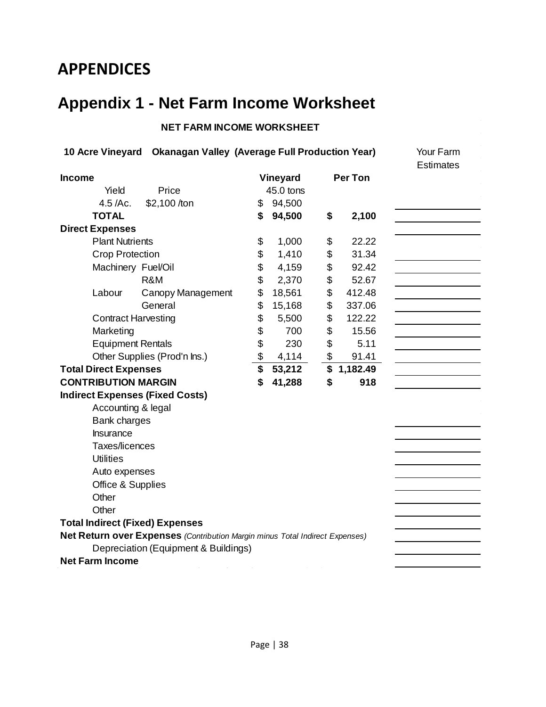### <span id="page-41-0"></span>**APPENDICES**

### <span id="page-41-1"></span>**Appendix 1 - Net Farm Income Worksheet**

#### **NET FARM INCOME WORKSHEET**

|                                        | 10 Acre Vineyard Okanagan Valley (Average Full Production Year)              |              |                | Your Farm        |
|----------------------------------------|------------------------------------------------------------------------------|--------------|----------------|------------------|
| <b>Income</b>                          |                                                                              | Vineyard     | <b>Per Ton</b> | <b>Estimates</b> |
| Yield                                  | Price                                                                        | 45.0 tons    |                |                  |
| 4.5 / Ac.                              | \$2,100 /ton                                                                 | \$<br>94,500 |                |                  |
| <b>TOTAL</b>                           |                                                                              | \$<br>94,500 | \$<br>2,100    |                  |
| <b>Direct Expenses</b>                 |                                                                              |              |                |                  |
| <b>Plant Nutrients</b>                 |                                                                              | \$<br>1,000  | \$<br>22.22    |                  |
| <b>Crop Protection</b>                 |                                                                              | \$<br>1,410  | \$<br>31.34    |                  |
| Machinery Fuel/Oil                     |                                                                              | \$<br>4,159  | \$<br>92.42    |                  |
|                                        | R&M                                                                          | \$<br>2,370  | \$<br>52.67    |                  |
| Labour                                 | Canopy Management                                                            | \$<br>18,561 | \$<br>412.48   |                  |
|                                        | General                                                                      | \$<br>15,168 | \$<br>337.06   |                  |
| <b>Contract Harvesting</b>             |                                                                              | \$<br>5,500  | \$<br>122.22   |                  |
| Marketing                              |                                                                              | \$<br>700    | \$<br>15.56    |                  |
| <b>Equipment Rentals</b>               |                                                                              | \$<br>230    | \$<br>5.11     |                  |
|                                        | Other Supplies (Prod'n Ins.)                                                 | \$<br>4,114  | \$<br>91.41    |                  |
| <b>Total Direct Expenses</b>           |                                                                              | \$<br>53,212 | \$<br>1,182.49 |                  |
| <b>CONTRIBUTION MARGIN</b>             |                                                                              | \$<br>41,288 | \$<br>918      |                  |
| <b>Indirect Expenses (Fixed Costs)</b> |                                                                              |              |                |                  |
| Accounting & legal                     |                                                                              |              |                |                  |
| <b>Bank charges</b>                    |                                                                              |              |                |                  |
| Insurance                              |                                                                              |              |                |                  |
| Taxes/licences                         |                                                                              |              |                |                  |
| <b>Utilities</b>                       |                                                                              |              |                |                  |
| Auto expenses                          |                                                                              |              |                |                  |
| Office & Supplies                      |                                                                              |              |                |                  |
| Other                                  |                                                                              |              |                |                  |
| Other                                  |                                                                              |              |                |                  |
| <b>Total Indirect (Fixed) Expenses</b> |                                                                              |              |                |                  |
|                                        | Net Return over Expenses (Contribution Margin minus Total Indirect Expenses) |              |                |                  |
|                                        | Depreciation (Equipment & Buildings)                                         |              |                |                  |
| <b>Net Farm Income</b>                 |                                                                              |              |                |                  |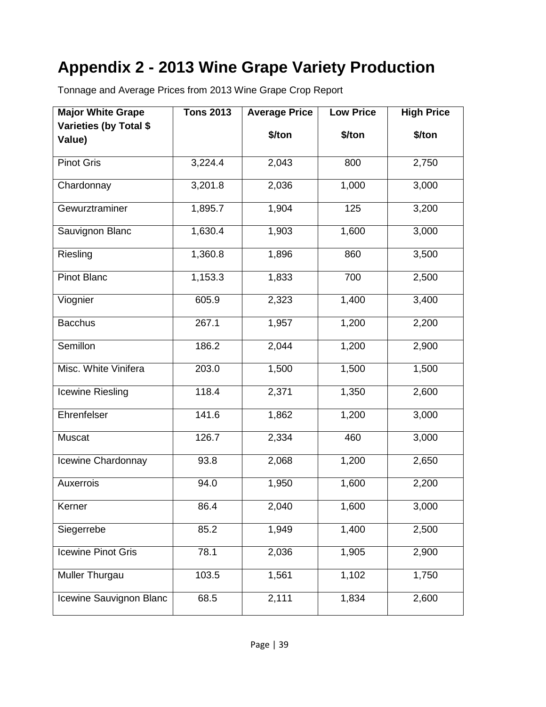### <span id="page-42-0"></span>**Appendix 2 - 2013 Wine Grape Variety Production**

Tonnage and Average Prices from 2013 Wine Grape Crop Report

| <b>Major White Grape</b> | <b>Tons 2013</b> | <b>Average Price</b> | <b>Low Price</b> | <b>High Price</b> |
|--------------------------|------------------|----------------------|------------------|-------------------|
| Varieties (by Total \$   |                  | \$/ton               | \$/ton           | \$/ton            |
| Value)                   |                  |                      |                  |                   |
| <b>Pinot Gris</b>        | 3,224.4          | 2,043                | 800              | 2,750             |
| Chardonnay               | 3,201.8          | 2,036                | 1,000            | 3,000             |
| Gewurztraminer           | 1,895.7          | 1,904                | 125              | 3,200             |
| Sauvignon Blanc          | 1,630.4          | 1,903                | 1,600            | 3,000             |
| Riesling                 | 1,360.8          | 1,896                | 860              | 3,500             |
| <b>Pinot Blanc</b>       | 1,153.3          | 1,833                | 700              | 2,500             |
| Viognier                 | 605.9            | 2,323                | 1,400            | 3,400             |
| <b>Bacchus</b>           | 267.1            | 1,957                | 1,200            | 2,200             |
| Semillon                 | 186.2            | 2,044                | 1,200            | 2,900             |
| Misc. White Vinifera     | 203.0            | 1,500                | 1,500            | 1,500             |
| Icewine Riesling         | 118.4            | 2,371                | 1,350            | 2,600             |
| Ehrenfelser              | 141.6            | $\overline{1,862}$   | 1,200            | 3,000             |
| Muscat                   | 126.7            | 2,334                | 460              | 3,000             |
| Icewine Chardonnay       | 93.8             | 2,068                | 1,200            | 2,650             |
| Auxerrois                | 94.0             | 1,950                | 1,600            | 2,200             |
| Kerner                   | 86.4             | 2,040                | 1,600            | 3,000             |
| Siegerrebe               | 85.2             | 1,949                | 1,400            | 2,500             |
| Icewine Pinot Gris       | 78.1             | 2,036                | 1,905            | 2,900             |
| <b>Muller Thurgau</b>    | 103.5            | 1,561                | 1,102            | 1,750             |
| Icewine Sauvignon Blanc  | 68.5             | 2,111                | 1,834            | 2,600             |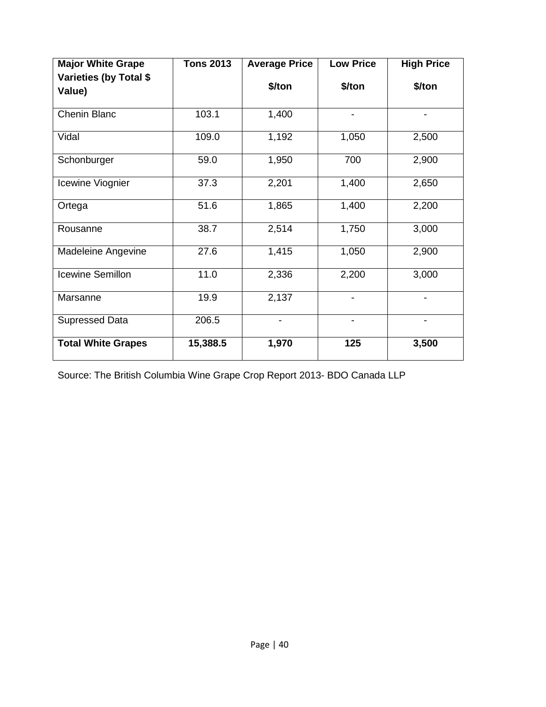| <b>Major White Grape</b>         | <b>Tons 2013</b> | <b>Average Price</b> | <b>Low Price</b>             | <b>High Price</b> |
|----------------------------------|------------------|----------------------|------------------------------|-------------------|
| Varieties (by Total \$<br>Value) |                  | \$/ton               | \$/ton                       | \$/ton            |
| <b>Chenin Blanc</b>              | 103.1            | 1,400                | $\qquad \qquad \blacksquare$ | -                 |
| Vidal                            | 109.0            | 1,192                | 1,050                        | 2,500             |
| Schonburger                      | 59.0             | 1,950                | 700                          | 2,900             |
| Icewine Viognier                 | 37.3             | 2,201                | 1,400                        | 2,650             |
| Ortega                           | 51.6             | 1,865                | 1,400                        | 2,200             |
| Rousanne                         | 38.7             | 2,514                | 1,750                        | 3,000             |
| Madeleine Angevine               | 27.6             | 1,415                | 1,050                        | 2,900             |
| <b>Icewine Semillon</b>          | 11.0             | 2,336                | 2,200                        | 3,000             |
| Marsanne                         | 19.9             | 2,137                |                              |                   |
| <b>Supressed Data</b>            | 206.5            |                      |                              |                   |
| <b>Total White Grapes</b>        | 15,388.5         | 1,970                | 125                          | 3,500             |

Source: The British Columbia Wine Grape Crop Report 2013- BDO Canada LLP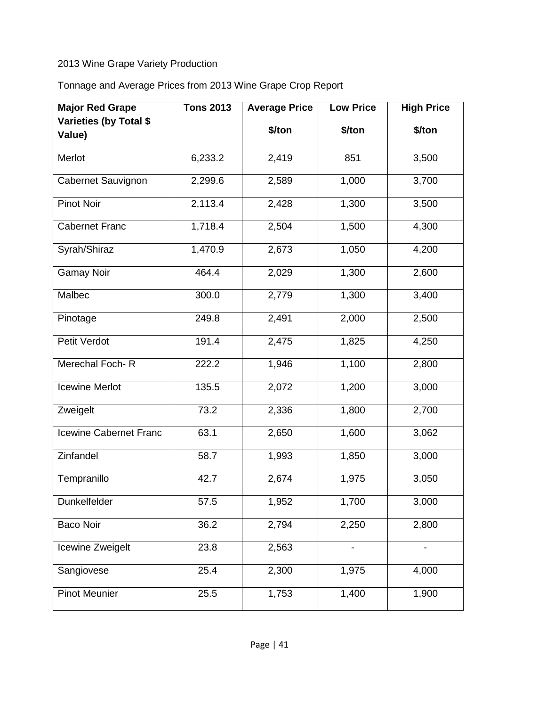#### 2013 Wine Grape Variety Production

Tonnage and Average Prices from 2013 Wine Grape Crop Report

| <b>Major Red Grape</b> | <b>Tons 2013</b> | <b>Average Price</b> | <b>Low Price</b> | <b>High Price</b> |
|------------------------|------------------|----------------------|------------------|-------------------|
| Varieties (by Total \$ |                  | \$/ton               | \$/ton           | \$/ton            |
| Value)                 |                  |                      |                  |                   |
| Merlot                 | 6,233.2          | 2,419                | 851              | 3,500             |
| Cabernet Sauvignon     | 2,299.6          | 2,589                | 1,000            | 3,700             |
| <b>Pinot Noir</b>      | 2,113.4          | 2,428                | 1,300            | 3,500             |
| <b>Cabernet Franc</b>  | 1,718.4          | 2,504                | 1,500            | 4,300             |
| Syrah/Shiraz           | 1,470.9          | 2,673                | 1,050            | 4,200             |
| <b>Gamay Noir</b>      | 464.4            | 2,029                | 1,300            | 2,600             |
| Malbec                 | 300.0            | 2,779                | 1,300            | 3,400             |
| Pinotage               | 249.8            | 2,491                | 2,000            | 2,500             |
| Petit Verdot           | 191.4            | 2,475                | 1,825            | 4,250             |
| Merechal Foch-R        | 222.2            | 1,946                | 1,100            | 2,800             |
| <b>Icewine Merlot</b>  | 135.5            | 2,072                | 1,200            | 3,000             |
| Zweigelt               | 73.2             | 2,336                | 1,800            | 2,700             |
| Icewine Cabernet Franc | 63.1             | 2,650                | 1,600            | 3,062             |
| Zinfandel              | 58.7             | 1,993                | 1,850            | 3,000             |
| Tempranillo            | 42.7             | 2,674                | 1,975            | 3,050             |
| Dunkelfelder           | 57.5             | 1,952                | 1,700            | 3,000             |
| <b>Baco Noir</b>       | 36.2             | 2,794                | 2,250            | 2,800             |
| Icewine Zweigelt       | 23.8             | 2,563                |                  |                   |
| Sangiovese             | 25.4             | 2,300                | 1,975            | 4,000             |
| <b>Pinot Meunier</b>   | 25.5             | 1,753                | 1,400            | 1,900             |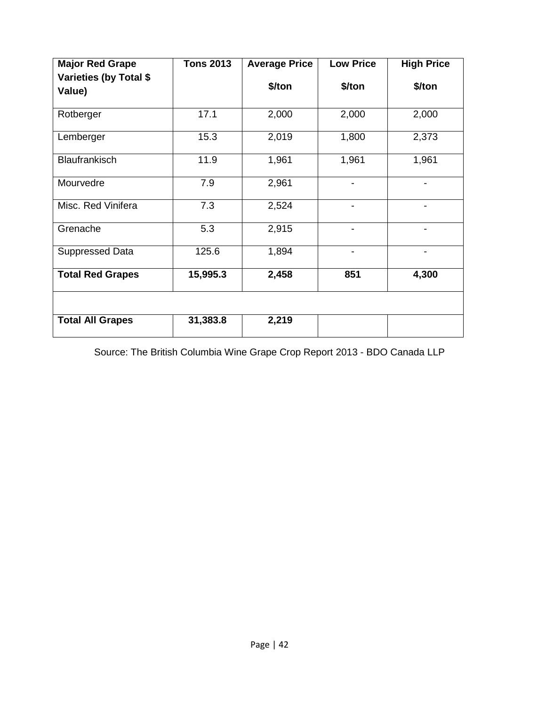| <b>Major Red Grape</b>           | <b>Tons 2013</b> | <b>Average Price</b> | <b>Low Price</b> | <b>High Price</b> |
|----------------------------------|------------------|----------------------|------------------|-------------------|
| Varieties (by Total \$<br>Value) |                  | \$/ton               | \$/ton           | \$/ton            |
| Rotberger                        | 17.1             | 2,000                | 2,000            | 2,000             |
| Lemberger                        | 15.3             | 2,019                | 1,800            | 2,373             |
| Blaufrankisch                    | 11.9             | 1,961                | 1,961            | 1,961             |
| Mourvedre                        | 7.9              | 2,961                |                  |                   |
| Misc. Red Vinifera               | 7.3              | 2,524                |                  |                   |
| Grenache                         | 5.3              | 2,915                |                  |                   |
| Suppressed Data                  | 125.6            | 1,894                |                  |                   |
| <b>Total Red Grapes</b>          | 15,995.3         | 2,458                | 851              | 4,300             |
|                                  |                  |                      |                  |                   |
| <b>Total All Grapes</b>          | 31,383.8         | 2,219                |                  |                   |

Source: The British Columbia Wine Grape Crop Report 2013 - BDO Canada LLP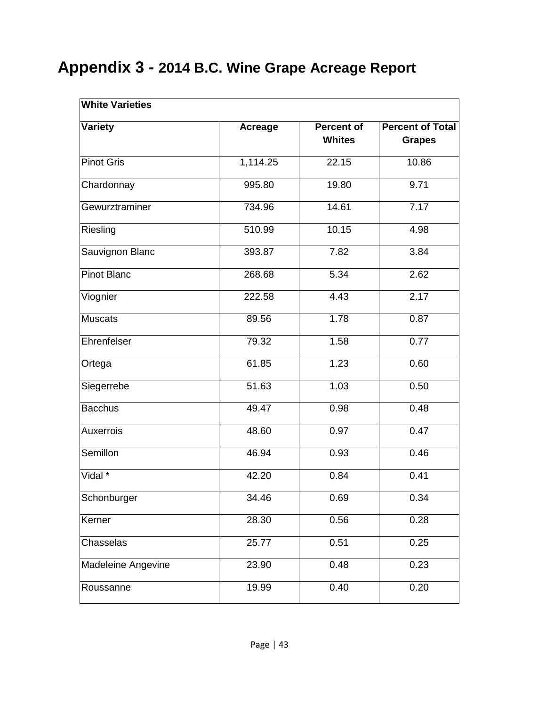### <span id="page-46-0"></span>**Appendix 3 - 2014 B.C. Wine Grape Acreage Report**

| <b>White Varieties</b> |                |                             |                                          |
|------------------------|----------------|-----------------------------|------------------------------------------|
| <b>Variety</b>         | <b>Acreage</b> | Percent of<br><b>Whites</b> | <b>Percent of Total</b><br><b>Grapes</b> |
| <b>Pinot Gris</b>      | 1,114.25       | 22.15                       | 10.86                                    |
| Chardonnay             | 995.80         | 19.80                       | 9.71                                     |
| Gewurztraminer         | 734.96         | 14.61                       | 7.17                                     |
| Riesling               | 510.99         | 10.15                       | 4.98                                     |
| Sauvignon Blanc        | 393.87         | 7.82                        | 3.84                                     |
| <b>Pinot Blanc</b>     | 268.68         | 5.34                        | 2.62                                     |
| Viognier               | 222.58         | 4.43                        | 2.17                                     |
| <b>Muscats</b>         | 89.56          | 1.78                        | 0.87                                     |
| Ehrenfelser            | 79.32          | 1.58                        | 0.77                                     |
| Ortega                 | 61.85          | 1.23                        | 0.60                                     |
| Siegerrebe             | 51.63          | 1.03                        | 0.50                                     |
| <b>Bacchus</b>         | 49.47          | 0.98                        | 0.48                                     |
| Auxerrois              | 48.60          | 0.97                        | 0.47                                     |
| Semillon               | 46.94          | 0.93                        | 0.46                                     |
| Vidal *                | 42.20          | 0.84                        | 0.41                                     |
| Schonburger            | 34.46          | 0.69                        | 0.34                                     |
| Kerner                 | 28.30          | 0.56                        | 0.28                                     |
| Chasselas              | 25.77          | 0.51                        | 0.25                                     |
| Madeleine Angevine     | 23.90          | 0.48                        | 0.23                                     |
| Roussanne              | 19.99          | 0.40                        | 0.20                                     |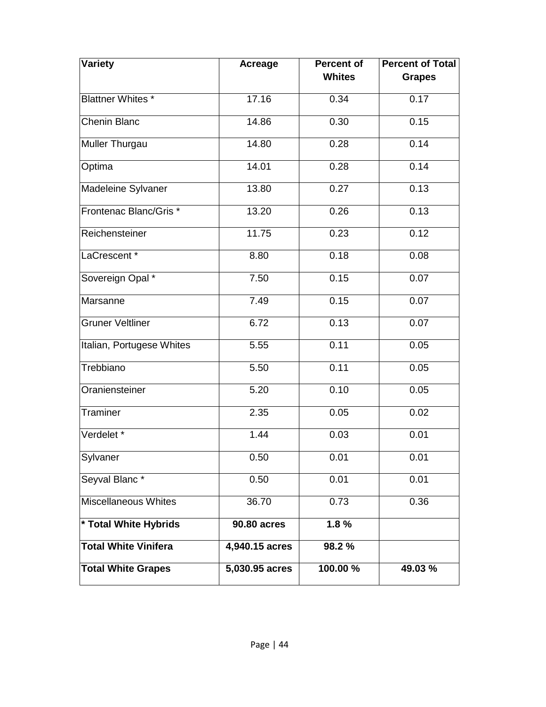| <b>Variety</b>              | <b>Acreage</b>     | <b>Percent of</b><br><b>Whites</b> | <b>Percent of Total</b><br><b>Grapes</b> |  |
|-----------------------------|--------------------|------------------------------------|------------------------------------------|--|
|                             |                    |                                    |                                          |  |
| <b>Blattner Whites *</b>    | 17.16              | 0.34                               | 0.17                                     |  |
| <b>Chenin Blanc</b>         | 14.86              | 0.30                               | 0.15                                     |  |
| Muller Thurgau              | 14.80              | 0.28                               | 0.14                                     |  |
| Optima                      | 14.01              | 0.28                               | 0.14                                     |  |
| Madeleine Sylvaner          | 13.80              | 0.27                               | 0.13                                     |  |
| Frontenac Blanc/Gris *      | 13.20              | 0.26                               | 0.13                                     |  |
| Reichensteiner              | 11.75              | 0.23                               | 0.12                                     |  |
| LaCrescent <sup>*</sup>     | 8.80               | 0.18                               | 0.08                                     |  |
| Sovereign Opal *            | 7.50               | 0.15                               | 0.07                                     |  |
| Marsanne                    | 7.49               | 0.15                               | 0.07                                     |  |
| <b>Gruner Veltliner</b>     | 6.72               | 0.13                               | 0.07                                     |  |
| Italian, Portugese Whites   | 5.55               | 0.11                               | 0.05                                     |  |
| Trebbiano                   | 5.50               | 0.11                               | 0.05                                     |  |
| Oraniensteiner              | 5.20               | 0.10                               | 0.05                                     |  |
| Traminer                    | 2.35               | 0.05                               | 0.02                                     |  |
| Verdelet <sup>*</sup>       | 1.44               | 0.03                               | 0.01                                     |  |
| Sylvaner                    | 0.50               | 0.01                               | 0.01                                     |  |
| Seyval Blanc*               | 0.50               | 0.01                               | 0.01                                     |  |
| Miscellaneous Whites        | 36.70              | 0.73                               | 0.36                                     |  |
| * Total White Hybrids       | <b>90.80 acres</b> | 1.8%                               |                                          |  |
| <b>Total White Vinifera</b> | 4,940.15 acres     | 98.2%                              |                                          |  |
| <b>Total White Grapes</b>   | 5,030.95 acres     | 100.00 %                           | 49.03 %                                  |  |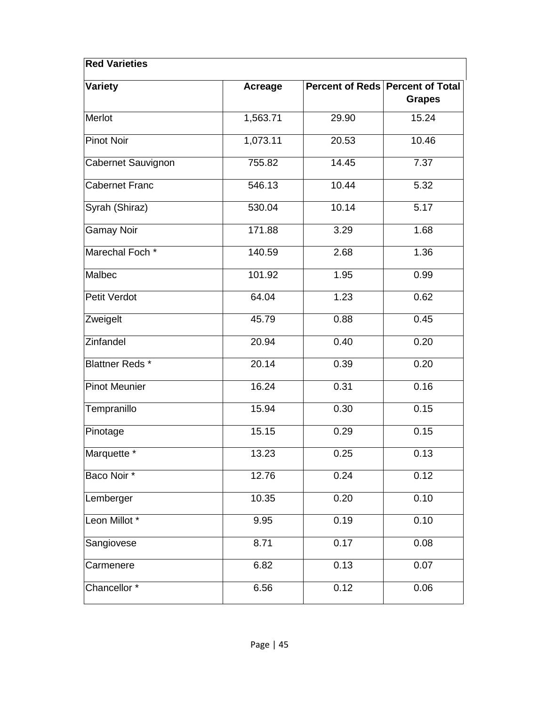| <b>Red Varieties</b>      |                |       |                                                   |
|---------------------------|----------------|-------|---------------------------------------------------|
| <b>Variety</b>            | <b>Acreage</b> |       | Percent of Reds Percent of Total<br><b>Grapes</b> |
| Merlot                    | 1,563.71       | 29.90 | 15.24                                             |
| <b>Pinot Noir</b>         | 1,073.11       | 20.53 | 10.46                                             |
| <b>Cabernet Sauvignon</b> | 755.82         | 14.45 | 7.37                                              |
| <b>Cabernet Franc</b>     | 546.13         | 10.44 | 5.32                                              |
| Syrah (Shiraz)            | 530.04         | 10.14 | 5.17                                              |
| <b>Gamay Noir</b>         | 171.88         | 3.29  | 1.68                                              |
| Marechal Foch *           | 140.59         | 2.68  | 1.36                                              |
| Malbec                    | 101.92         | 1.95  | 0.99                                              |
| Petit Verdot              | 64.04          | 1.23  | 0.62                                              |
| Zweigelt                  | 45.79          | 0.88  | 0.45                                              |
| Zinfandel                 | 20.94          | 0.40  | 0.20                                              |
| <b>Blattner Reds*</b>     | 20.14          | 0.39  | 0.20                                              |
| <b>Pinot Meunier</b>      | 16.24          | 0.31  | 0.16                                              |
| Tempranillo               | 15.94          | 0.30  | 0.15                                              |
| Pinotage                  | 15.15          | 0.29  | 0.15                                              |
| Marquette *               | 13.23          | 0.25  | 0.13                                              |
| Baco Noir*                | 12.76          | 0.24  | 0.12                                              |
| Lemberger                 | 10.35          | 0.20  | 0.10                                              |
| Leon Millot <sup>*</sup>  | 9.95           | 0.19  | 0.10                                              |
| Sangiovese                | 8.71           | 0.17  | 0.08                                              |
| Carmenere                 | 6.82           | 0.13  | 0.07                                              |
| Chancellor <sup>*</sup>   | 6.56           | 0.12  | 0.06                                              |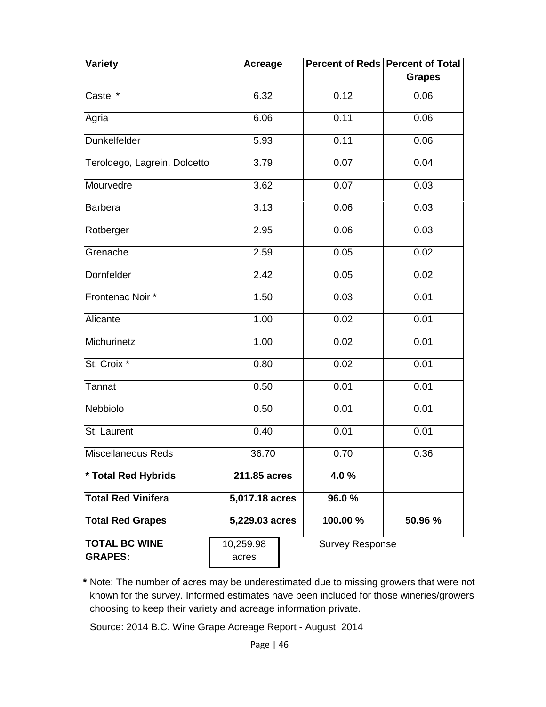| Variety                      | <b>Acreage</b>              |                        | Percent of Reds Percent of Total |  |  |
|------------------------------|-----------------------------|------------------------|----------------------------------|--|--|
|                              |                             |                        | <b>Grapes</b>                    |  |  |
| Castel *                     | 6.32                        | 0.12                   | 0.06                             |  |  |
| Agria                        | 6.06                        | 0.11                   | 0.06                             |  |  |
| Dunkelfelder                 | 5.93                        | 0.11                   | 0.06                             |  |  |
| Teroldego, Lagrein, Dolcetto | 3.79                        | 0.07                   | 0.04                             |  |  |
| Mourvedre                    | 3.62                        | 0.07                   | 0.03                             |  |  |
| <b>Barbera</b>               | 3.13                        | 0.06                   | 0.03                             |  |  |
| Rotberger                    | 2.95                        | 0.06                   | 0.03                             |  |  |
| Grenache                     | 2.59                        | 0.05                   | 0.02                             |  |  |
| Dornfelder                   | 2.42                        | 0.05                   | 0.02                             |  |  |
| Frontenac Noir *             | 1.50                        | 0.03                   | 0.01                             |  |  |
| Alicante                     | 1.00                        | 0.02                   | 0.01                             |  |  |
| Michurinetz                  | 1.00                        | 0.02                   | 0.01                             |  |  |
| St. Croix *                  | 0.80                        | 0.02                   | 0.01                             |  |  |
| Tannat                       | 0.50                        | 0.01                   | 0.01                             |  |  |
| Nebbiolo                     | 0.50                        | 0.01                   | 0.01                             |  |  |
| St. Laurent                  | 0.40                        | 0.01                   | 0.01                             |  |  |
| Miscellaneous Reds           | 36.70                       | 0.70                   | 0.36                             |  |  |
| * Total Red Hybrids          | 211.85 acres                | 4.0%                   |                                  |  |  |
| <b>Total Red Vinifera</b>    | $\overline{5,017.18}$ acres | 96.0%                  |                                  |  |  |
| <b>Total Red Grapes</b>      | 5,229.03 acres              | 100.00 %               | 50.96 %                          |  |  |
| <b>TOTAL BC WINE</b>         | 10,259.98                   | <b>Survey Response</b> |                                  |  |  |
| <b>GRAPES:</b>               | acres                       |                        |                                  |  |  |

**\*** Note: The number of acres may be underestimated due to missing growers that were not known for the survey. Informed estimates have been included for those wineries/growers choosing to keep their variety and acreage information private.

Source: 2014 B.C. Wine Grape Acreage Report - August 2014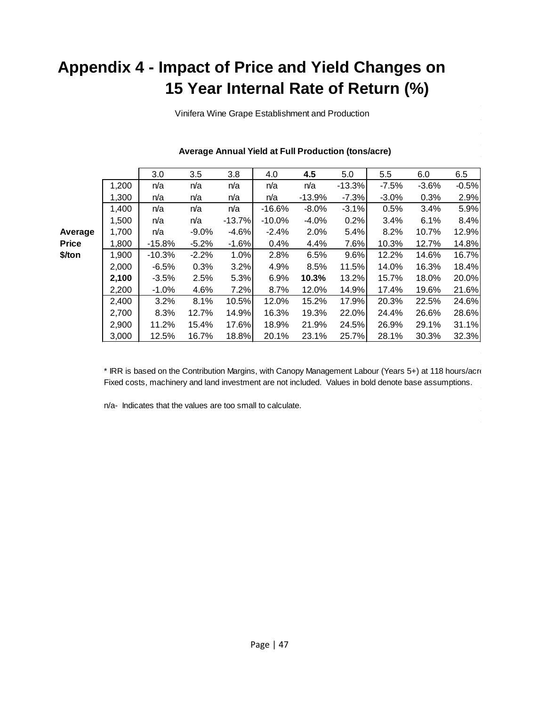### <span id="page-50-0"></span>**Appendix 4 - Impact of Price and Yield Changes on 15 Year Internal Rate of Return (%)**

Vinifera Wine Grape Establishment and Production

|         |       | 3.0      | 3.5      | 3.8      | 4.0       | 4.5       | 5.0      | 5.5     | 6.0     | 6.5     |
|---------|-------|----------|----------|----------|-----------|-----------|----------|---------|---------|---------|
|         | 1,200 | n/a      | n/a      | n/a      | n/a       | n/a       | $-13.3%$ | $-7.5%$ | $-3.6%$ | $-0.5%$ |
|         | 1,300 | n/a      | n/a      | n/a      | n/a       | $-13.9\%$ | $-7.3%$  | $-3.0%$ | 0.3%    | 2.9%    |
|         | 1,400 | n/a      | n/a      | n/a      | $-16.6%$  | $-8.0\%$  | $-3.1%$  | 0.5%    | 3.4%    | 5.9%    |
|         | 1,500 | n/a      | n/a      | $-13.7%$ | $-10.0\%$ | $-4.0\%$  | 0.2%     | 3.4%    | 6.1%    | 8.4%    |
| Average | 1,700 | n/a      | $-9.0\%$ | $-4.6%$  | $-2.4%$   | 2.0%      | 5.4%     | 8.2%    | 10.7%   | 12.9%   |
| Price   | 1,800 | $-15.8%$ | $-5.2%$  | $-1.6%$  | 0.4%      | 4.4%      | 7.6%     | 10.3%   | 12.7%   | 14.8%   |
| \$/ton  | 1,900 | $-10.3%$ | $-2.2%$  | 1.0%     | 2.8%      | 6.5%      | 9.6%     | 12.2%   | 14.6%   | 16.7%   |
|         | 2,000 | $-6.5%$  | 0.3%     | 3.2%     | 4.9%      | 8.5%      | 11.5%    | 14.0%   | 16.3%   | 18.4%   |
|         | 2,100 | $-3.5\%$ | 2.5%     | 5.3%     | 6.9%      | 10.3%     | 13.2%    | 15.7%   | 18.0%   | 20.0%   |
|         | 2,200 | $-1.0%$  | 4.6%     | 7.2%     | 8.7%      | 12.0%     | 14.9%    | 17.4%   | 19.6%   | 21.6%   |
|         | 2,400 | 3.2%     | 8.1%     | 10.5%    | 12.0%     | 15.2%     | 17.9%    | 20.3%   | 22.5%   | 24.6%   |
|         | 2,700 | 8.3%     | 12.7%    | 14.9%    | 16.3%     | 19.3%     | 22.0%    | 24.4%   | 26.6%   | 28.6%   |
|         | 2,900 | 11.2%    | 15.4%    | 17.6%    | 18.9%     | 21.9%     | 24.5%    | 26.9%   | 29.1%   | 31.1%   |
|         | 3,000 | 12.5%    | 16.7%    | 18.8%    | 20.1%     | 23.1%     | 25.7%    | 28.1%   | 30.3%   | 32.3%   |

#### **Average Annual Yield at Full Production (tons/acre)**

\* IRR is based on the Contribution Margins, with Canopy Management Labour (Years 5+) at 118 hours/acre Fixed costs, machinery and land investment are not included. Values in bold denote base assumptions.

n/a- Indicates that the values are too small to calculate.